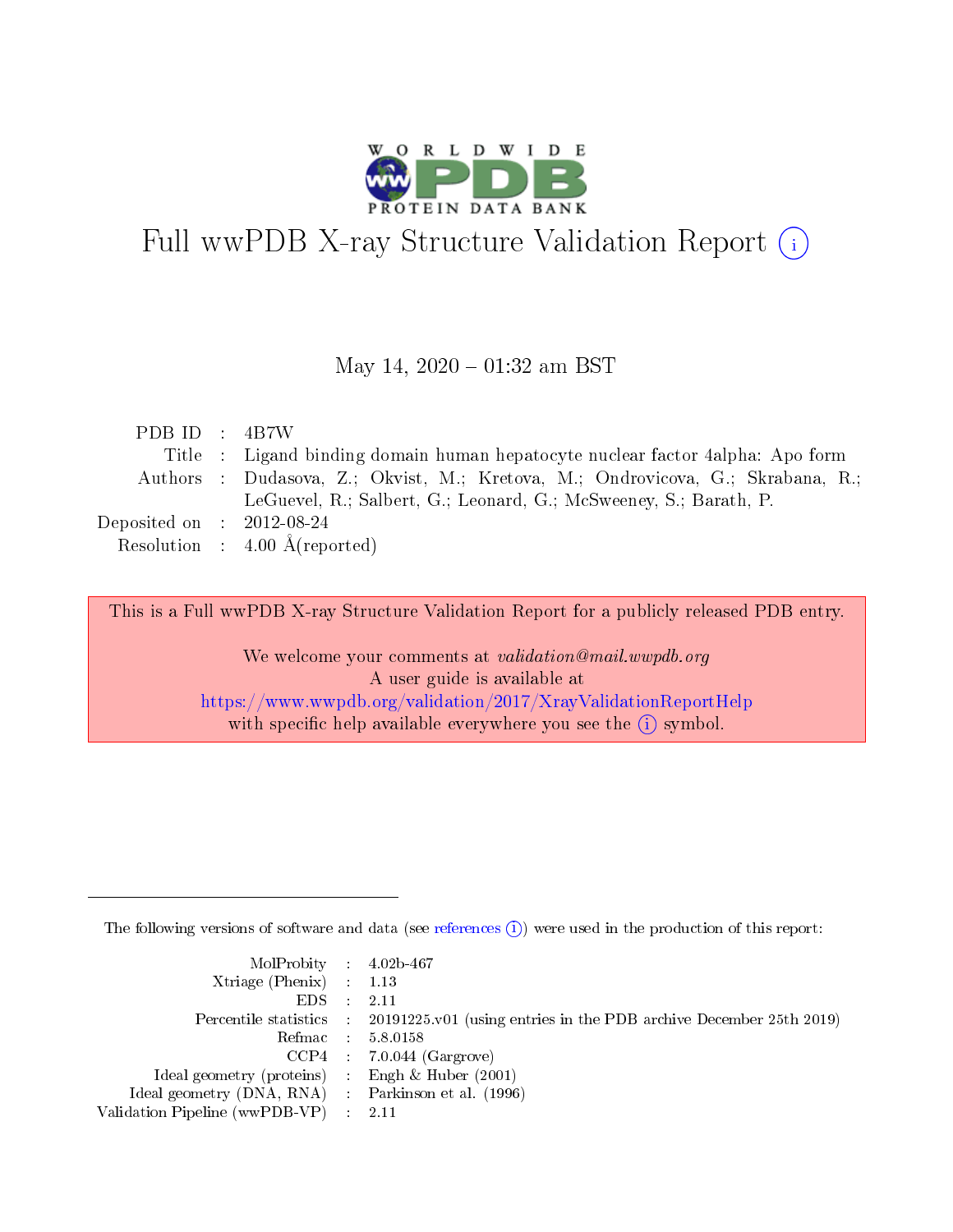

# Full wwPDB X-ray Structure Validation Report (i)

#### May 14,  $2020 - 01:32$  am BST

| PDBID : 4B7W                         |                                                                                |
|--------------------------------------|--------------------------------------------------------------------------------|
|                                      | Title : Ligand binding domain human hepatocyte nuclear factor 4alpha: Apo form |
|                                      | Authors: Dudasova, Z.; Okvist, M.; Kretova, M.; Ondrovicova, G.; Skrabana, R.; |
|                                      | LeGuevel, R.; Salbert, G.; Leonard, G.; McSweeney, S.; Barath, P.              |
| Deposited on $\therefore$ 2012-08-24 |                                                                                |
|                                      | Resolution : $4.00 \text{ Å}$ (reported)                                       |

This is a Full wwPDB X-ray Structure Validation Report for a publicly released PDB entry.

We welcome your comments at validation@mail.wwpdb.org A user guide is available at <https://www.wwpdb.org/validation/2017/XrayValidationReportHelp> with specific help available everywhere you see the  $(i)$  symbol.

The following versions of software and data (see [references](https://www.wwpdb.org/validation/2017/XrayValidationReportHelp#references)  $(i)$ ) were used in the production of this report:

| MolProbity : 4.02b-467                              |                                                                                            |
|-----------------------------------------------------|--------------------------------------------------------------------------------------------|
| Xtriage (Phenix) $: 1.13$                           |                                                                                            |
| $EDS = 2.11$                                        |                                                                                            |
|                                                     | Percentile statistics : 20191225.v01 (using entries in the PDB archive December 25th 2019) |
|                                                     | Refmac : 5.8.0158                                                                          |
|                                                     | $CCP4$ : 7.0.044 (Gargrove)                                                                |
| Ideal geometry (proteins) : Engh $\&$ Huber (2001)  |                                                                                            |
| Ideal geometry (DNA, RNA) : Parkinson et al. (1996) |                                                                                            |
| Validation Pipeline (wwPDB-VP) : 2.11               |                                                                                            |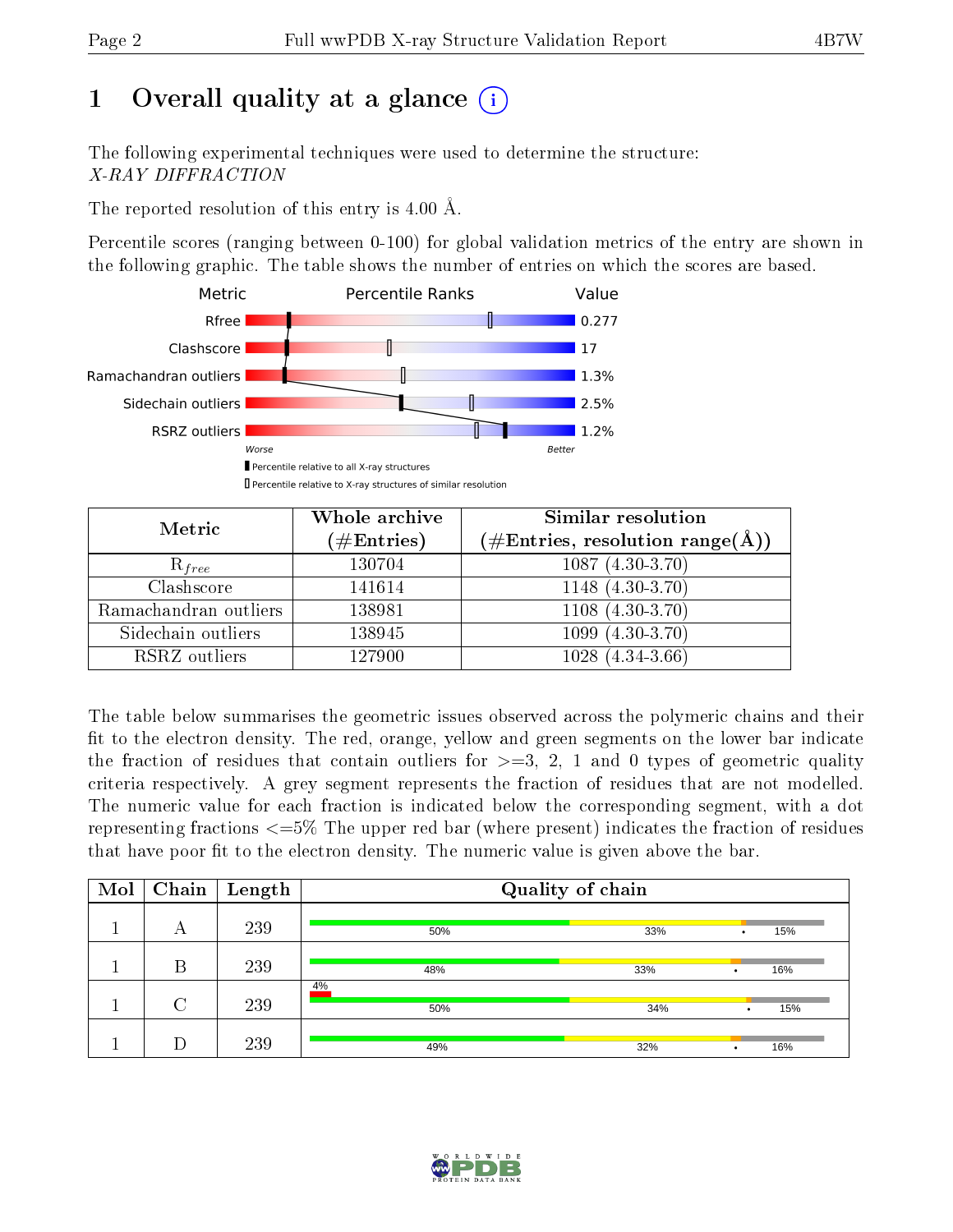# 1 [O](https://www.wwpdb.org/validation/2017/XrayValidationReportHelp#overall_quality)verall quality at a glance  $(i)$

The following experimental techniques were used to determine the structure: X-RAY DIFFRACTION

The reported resolution of this entry is 4.00 Å.

Percentile scores (ranging between 0-100) for global validation metrics of the entry are shown in the following graphic. The table shows the number of entries on which the scores are based.



| Metric                | Whole archive<br>$(\#\text{Entries})$ | Similar resolution<br>$(\#\text{Entries}, \text{resolution range}(\text{\AA}))$ |
|-----------------------|---------------------------------------|---------------------------------------------------------------------------------|
| $R_{free}$            | 130704                                | $1087(4.30-3.70)$                                                               |
| Clashscore            | 141614                                | $1148(4.30-3.70)$                                                               |
| Ramachandran outliers | 138981                                | $1108(4.30-3.70)$                                                               |
| Sidechain outliers    | 138945                                | $1099(4.30-3.70)$                                                               |
| RSRZ outliers         | 127900                                | $1028(4.34-3.66)$                                                               |

The table below summarises the geometric issues observed across the polymeric chains and their fit to the electron density. The red, orange, yellow and green segments on the lower bar indicate the fraction of residues that contain outliers for  $>=3, 2, 1$  and 0 types of geometric quality criteria respectively. A grey segment represents the fraction of residues that are not modelled. The numeric value for each fraction is indicated below the corresponding segment, with a dot representing fractions <=5% The upper red bar (where present) indicates the fraction of residues that have poor fit to the electron density. The numeric value is given above the bar.

| Mol | Chain | $\vert$ Length | Quality of chain |          |                  |  |
|-----|-------|----------------|------------------|----------|------------------|--|
|     | А     | 239            | 50%              | 33%      | 15%<br>$\bullet$ |  |
|     | В     | 239            | 48%              | 33%<br>٠ | 16%              |  |
|     | C     | 239            | 4%<br>50%        | 34%      | 15%<br>$\bullet$ |  |
|     |       | 239            | 49%              | 32%<br>٠ | 16%              |  |

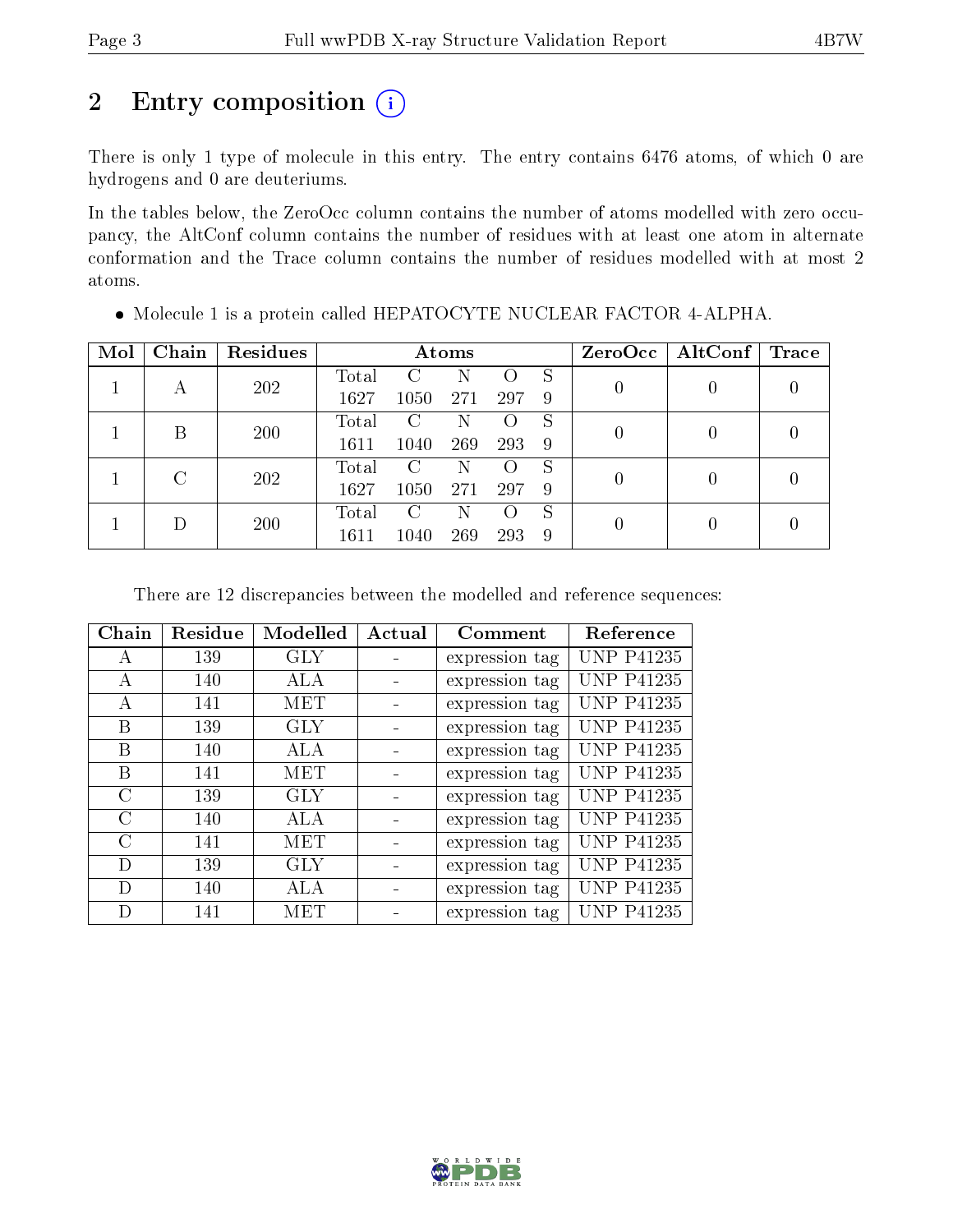# 2 Entry composition (i)

There is only 1 type of molecule in this entry. The entry contains 6476 atoms, of which 0 are hydrogens and 0 are deuteriums.

In the tables below, the ZeroOcc column contains the number of atoms modelled with zero occupancy, the AltConf column contains the number of residues with at least one atom in alternate conformation and the Trace column contains the number of residues modelled with at most 2 atoms.

| Mol | Chain | Residues |       | Atoms |     |     |   | $ZeroOcc \mid AltConf \mid$ | $\operatorname{Trace}$ |
|-----|-------|----------|-------|-------|-----|-----|---|-----------------------------|------------------------|
|     |       | 202      | Total |       |     |     | S |                             |                        |
|     |       |          | 1627  | 1050  | 271 | 297 | 9 |                             |                        |
|     | В     | 200      | Total | C     | Ν   |     | S |                             |                        |
|     |       |          | 1611  | 1040  | 269 | 293 | 9 |                             |                        |
|     | C     | 202      | Total | C     | N   |     | S |                             |                        |
|     |       |          | 1627  | 1050  | 271 | 297 | 9 |                             |                        |
|     |       |          | Total | C     |     |     | S |                             |                        |
|     |       | 200      | 1611  | 1040  | 269 | 293 | 9 |                             |                        |

Molecule 1 is a protein called HEPATOCYTE NUCLEAR FACTOR 4-ALPHA.

There are 12 discrepancies between the modelled and reference sequences:

| Chain         | Residue | Modelled   | Actual | Comment        | Reference         |
|---------------|---------|------------|--------|----------------|-------------------|
| А             | 139     | <b>GLY</b> |        | expression tag | <b>UNP P41235</b> |
| А             | 140     | ALA        |        | expression tag | <b>UNP P41235</b> |
| A             | 141     | <b>MET</b> |        | expression tag | <b>UNP P41235</b> |
| В             | 139     | <b>GLY</b> |        | expression tag | <b>UNP P41235</b> |
| В             | 140     | ALA        |        | expression tag | <b>UNP P41235</b> |
| В             | 141     | MET        |        | expression tag | <b>UNP P41235</b> |
| $\rm C$       | 139     | <b>GLY</b> |        | expression tag | <b>UNP P41235</b> |
| $\mathcal{C}$ | 140     | ALA        |        | expression tag | <b>UNP P41235</b> |
| C             | 141     | MET        |        | expression tag | <b>UNP P41235</b> |
| D             | 139     | <b>GLY</b> |        | expression tag | <b>UNP P41235</b> |
| D             | 140     | ALA        |        | expression tag | <b>UNP P41235</b> |
| D             | 141     | MET        |        | expression tag | <b>UNP P41235</b> |

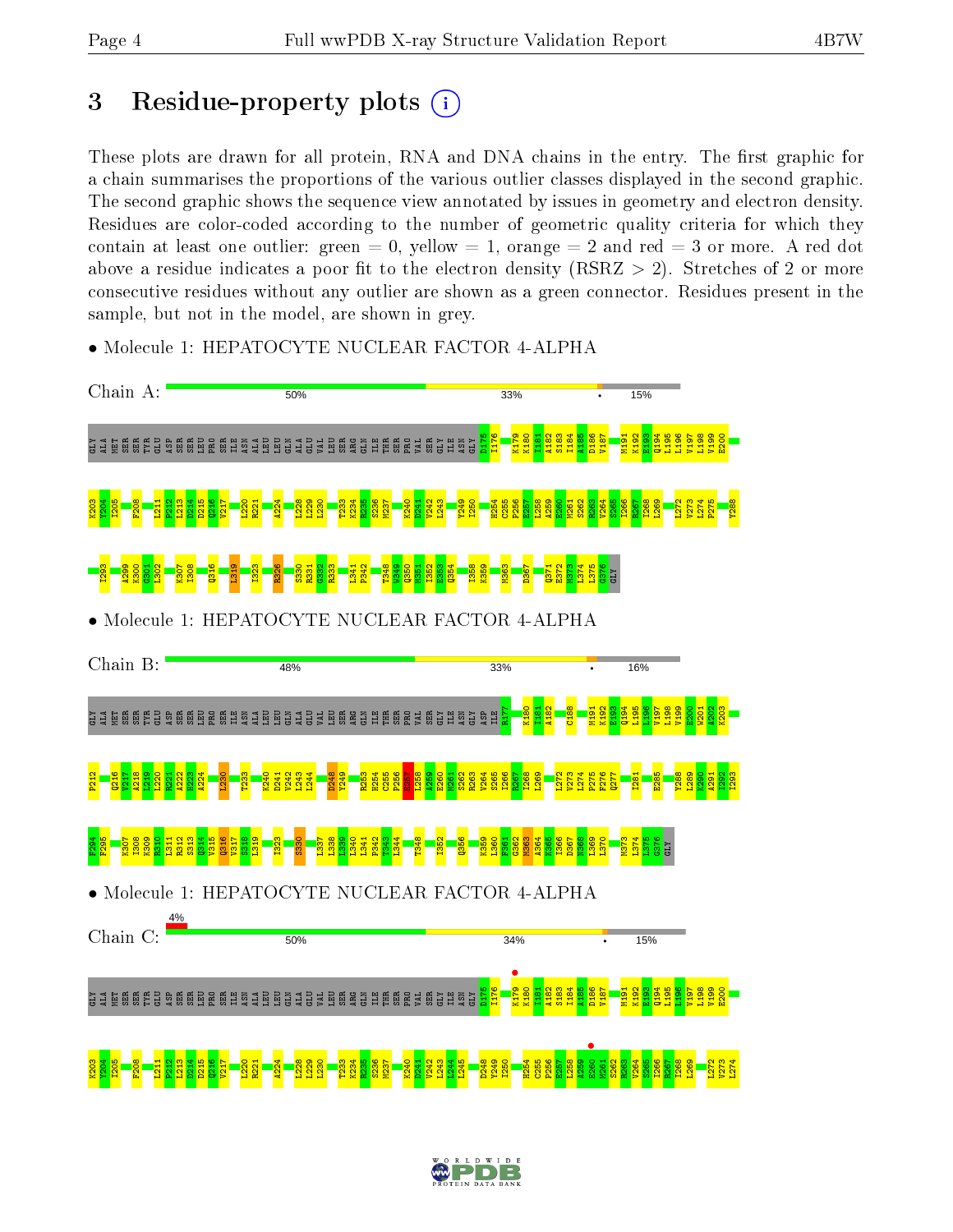# 3 Residue-property plots  $(i)$

These plots are drawn for all protein, RNA and DNA chains in the entry. The first graphic for a chain summarises the proportions of the various outlier classes displayed in the second graphic. The second graphic shows the sequence view annotated by issues in geometry and electron density. Residues are color-coded according to the number of geometric quality criteria for which they contain at least one outlier: green  $= 0$ , yellow  $= 1$ , orange  $= 2$  and red  $= 3$  or more. A red dot above a residue indicates a poor fit to the electron density (RSRZ  $> 2$ ). Stretches of 2 or more consecutive residues without any outlier are shown as a green connector. Residues present in the sample, but not in the model, are shown in grey.

• Molecule 1: HEPATOCYTE NUCLEAR FACTOR 4-ALPHA



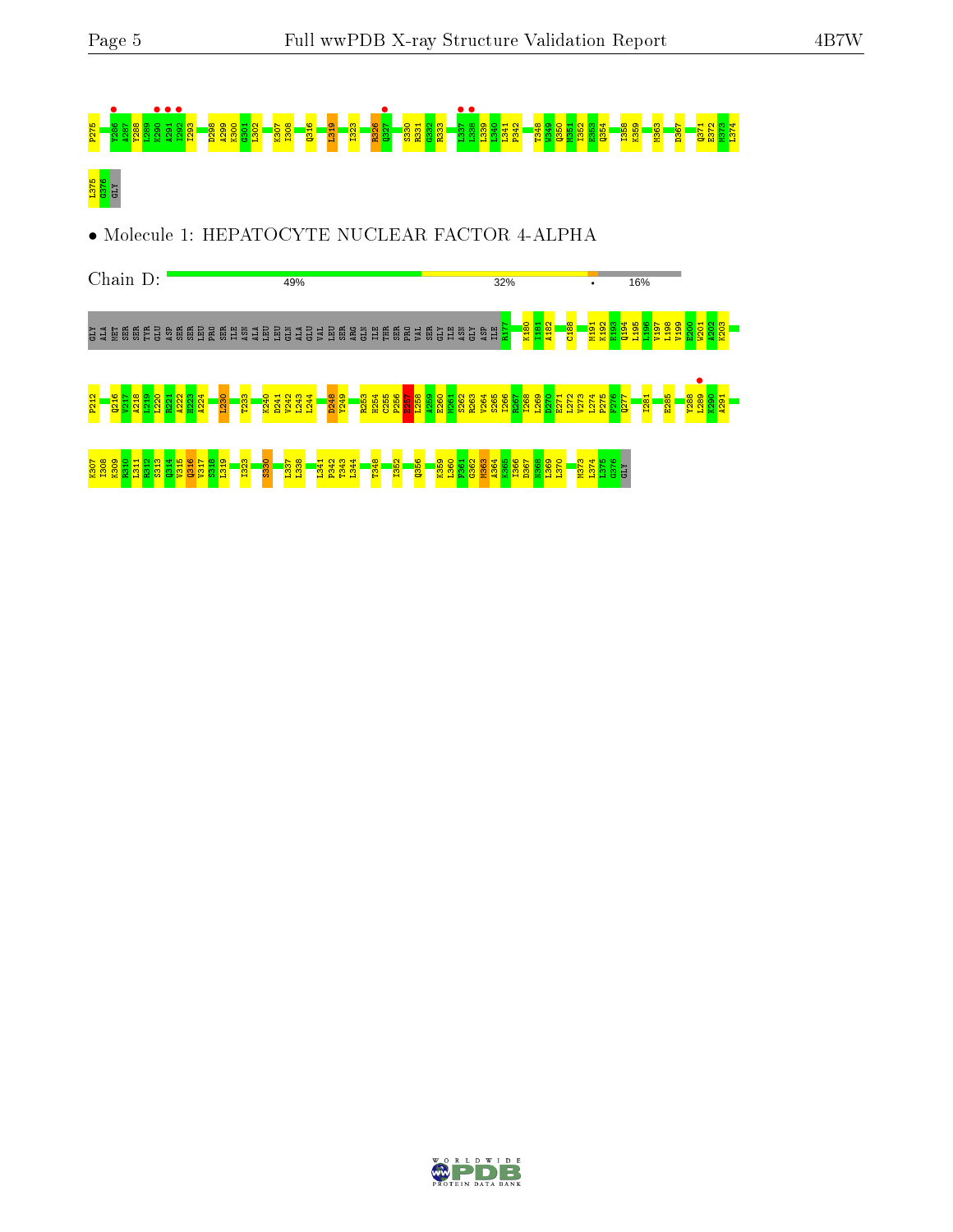

• Molecule 1: HEPATOCYTE NUCLEAR FACTOR 4-ALPHA



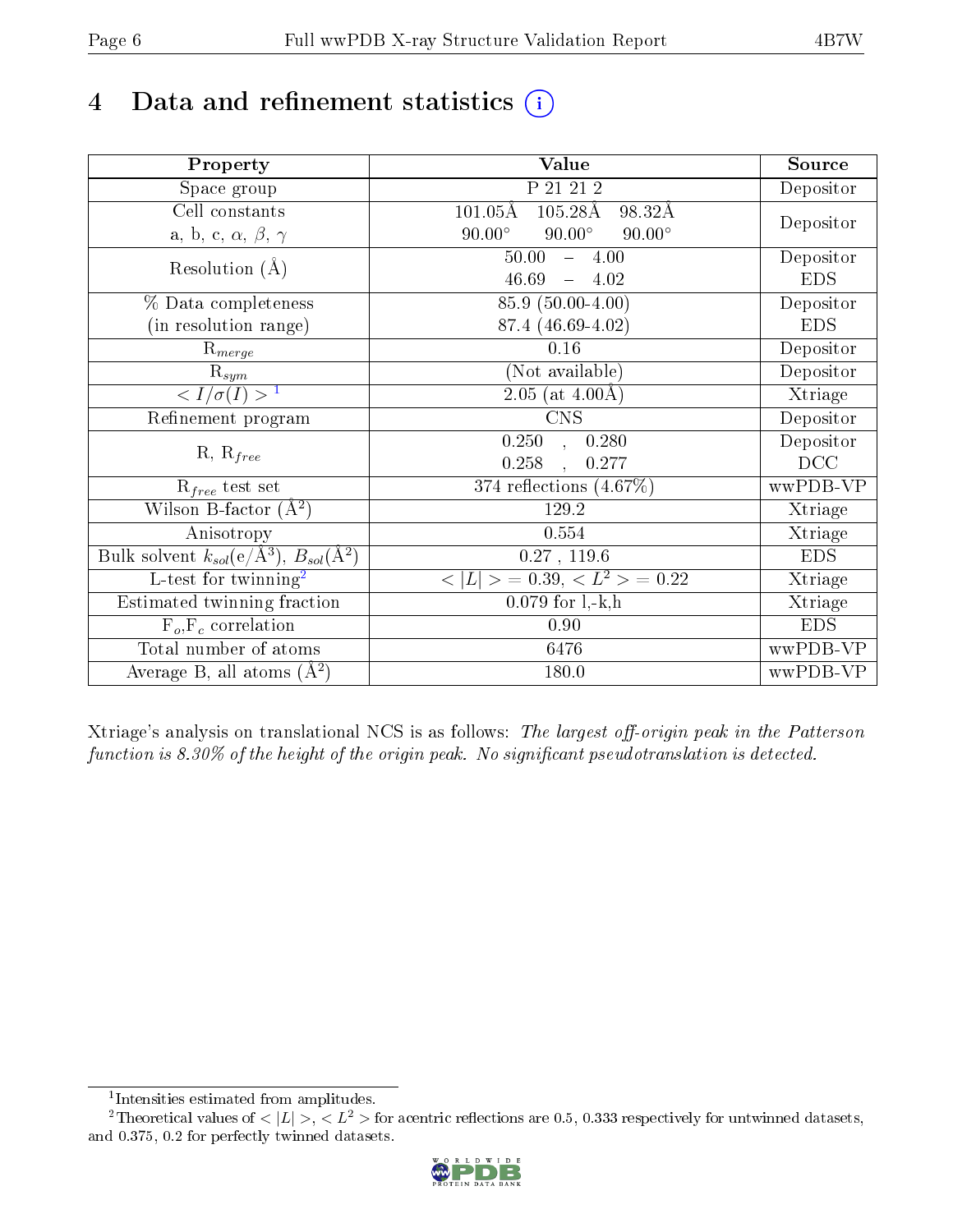# 4 Data and refinement statistics  $(i)$

| Property                                                             | Value                                              | Source     |
|----------------------------------------------------------------------|----------------------------------------------------|------------|
| Space group                                                          | P 21 21 2                                          | Depositor  |
| Cell constants                                                       | $101.05\text{\AA}$<br>$105.28\text{\AA}$<br>98.32Å |            |
| a, b, c, $\alpha$ , $\beta$ , $\gamma$                               | $90.00^\circ$<br>$90.00^\circ$<br>$90.00^\circ$    | Depositor  |
| Resolution $(A)$                                                     | $-4.00$<br>50.00                                   | Depositor  |
|                                                                      | 46.69<br>$-4.02$                                   | <b>EDS</b> |
| % Data completeness                                                  | 85.9 (50.00-4.00)                                  | Depositor  |
| (in resolution range)                                                | 87.4 (46.69-4.02)                                  | <b>EDS</b> |
| $\mathrm{R}_{merge}$                                                 | 0.16                                               | Depositor  |
| $\mathrm{R}_{sym}$                                                   | (Not available)                                    | Depositor  |
| $\sqrt{I/\sigma}(I) > 1$                                             | $2.05$ (at $4.00\text{\AA}$ )                      | Xtriage    |
| Refinement program                                                   | <b>CNS</b>                                         | Depositor  |
|                                                                      | 0.250<br>0.280<br>$\overline{\phantom{a}}$         | Depositor  |
| $R, R_{free}$                                                        | 0.258<br>0.277                                     | DCC        |
| $R_{free}$ test set                                                  | 374 reflections $(4.67\%)$                         | wwPDB-VP   |
| Wilson B-factor $(A^2)$                                              | 129.2                                              | Xtriage    |
| Anisotropy                                                           | 0.554                                              | Xtriage    |
| Bulk solvent $k_{sol}(e/\mathring{A}^3)$ , $B_{sol}(\mathring{A}^2)$ | 0.27, 119.6                                        | <b>EDS</b> |
| $\overline{L-test for }$ twinning <sup>2</sup>                       | $< L >$ = 0.39, $< L2$ > = 0.22                    | Xtriage    |
| Estimated twinning fraction                                          | $0.079$ for $1, -k, h$                             | Xtriage    |
| $F_o, F_c$ correlation                                               | 0.90                                               | <b>EDS</b> |
| Total number of atoms                                                | 6476                                               | wwPDB-VP   |
| Average B, all atoms $(A^2)$                                         | 180.0                                              | wwPDB-VP   |

Xtriage's analysis on translational NCS is as follows: The largest off-origin peak in the Patterson function is  $8.30\%$  of the height of the origin peak. No significant pseudotranslation is detected.

<sup>&</sup>lt;sup>2</sup>Theoretical values of  $\langle |L| \rangle$ ,  $\langle L^2 \rangle$  for acentric reflections are 0.5, 0.333 respectively for untwinned datasets, and 0.375, 0.2 for perfectly twinned datasets.



<span id="page-5-1"></span><span id="page-5-0"></span><sup>1</sup> Intensities estimated from amplitudes.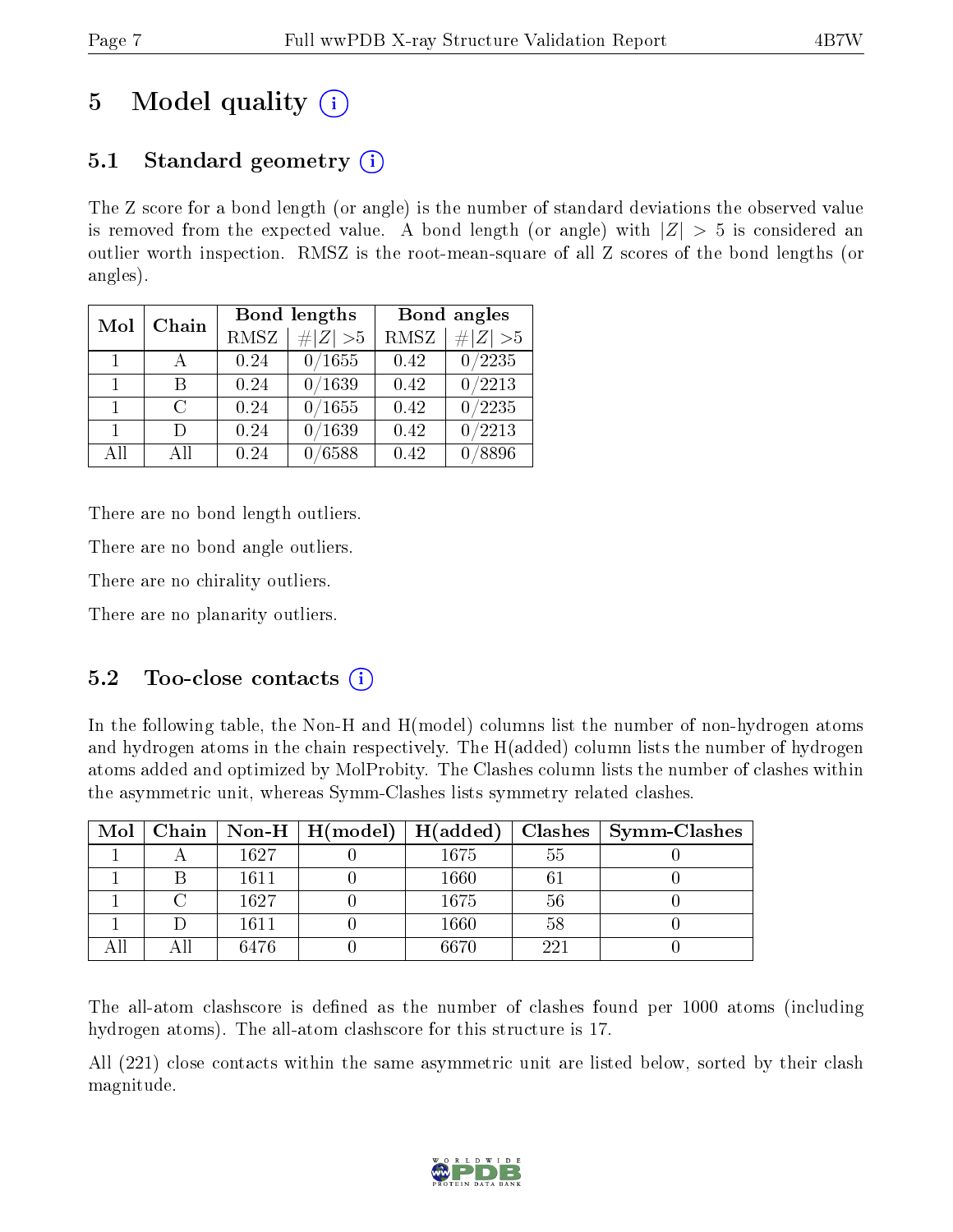# 5 Model quality  $(i)$

## 5.1 Standard geometry  $\overline{()}$

The Z score for a bond length (or angle) is the number of standard deviations the observed value is removed from the expected value. A bond length (or angle) with  $|Z| > 5$  is considered an outlier worth inspection. RMSZ is the root-mean-square of all Z scores of the bond lengths (or angles).

| Mol            | Chain  |      | Bond lengths | Bond angles |             |
|----------------|--------|------|--------------|-------------|-------------|
|                |        | RMSZ | $\# Z  > 5$  | <b>RMSZ</b> | $\# Z  > 5$ |
| $\overline{1}$ |        | 0.24 | 0/1655       | 0.42        | 0/2235      |
| $\mathbf{1}$   | R      | 0.24 | 0/1639       | 0.42        | 0/2213      |
| $\mathbf{1}$   | $\cap$ | 0.24 | 0/1655       | 0.42        | 0/2235      |
| $\mathbf{1}$   | $\Box$ | 0.24 | /1639        | 0.42        | 0/2213      |
| AH             | АH     | 0.24 | 6588         | 0.42        | 8896        |

There are no bond length outliers.

There are no bond angle outliers.

There are no chirality outliers.

There are no planarity outliers.

### 5.2 Too-close contacts  $\overline{()}$

In the following table, the Non-H and H(model) columns list the number of non-hydrogen atoms and hydrogen atoms in the chain respectively. The H(added) column lists the number of hydrogen atoms added and optimized by MolProbity. The Clashes column lists the number of clashes within the asymmetric unit, whereas Symm-Clashes lists symmetry related clashes.

| $\text{Mol}$ |      | $\mid$ Chain $\mid$ Non-H $\mid$ H(model) $\mid$ H(added) |      | $\bf Classhes$ | $\vert$ Symm-Clashes |
|--------------|------|-----------------------------------------------------------|------|----------------|----------------------|
|              | 1627 |                                                           | 1675 | 55             |                      |
|              | 1611 |                                                           | 1660 |                |                      |
|              | 1627 |                                                           | 1675 | 56             |                      |
|              | 1611 |                                                           | 1660 | 58             |                      |
|              | 6476 |                                                           | 6670 | 221            |                      |

The all-atom clashscore is defined as the number of clashes found per 1000 atoms (including hydrogen atoms). The all-atom clashscore for this structure is 17.

All (221) close contacts within the same asymmetric unit are listed below, sorted by their clash magnitude.

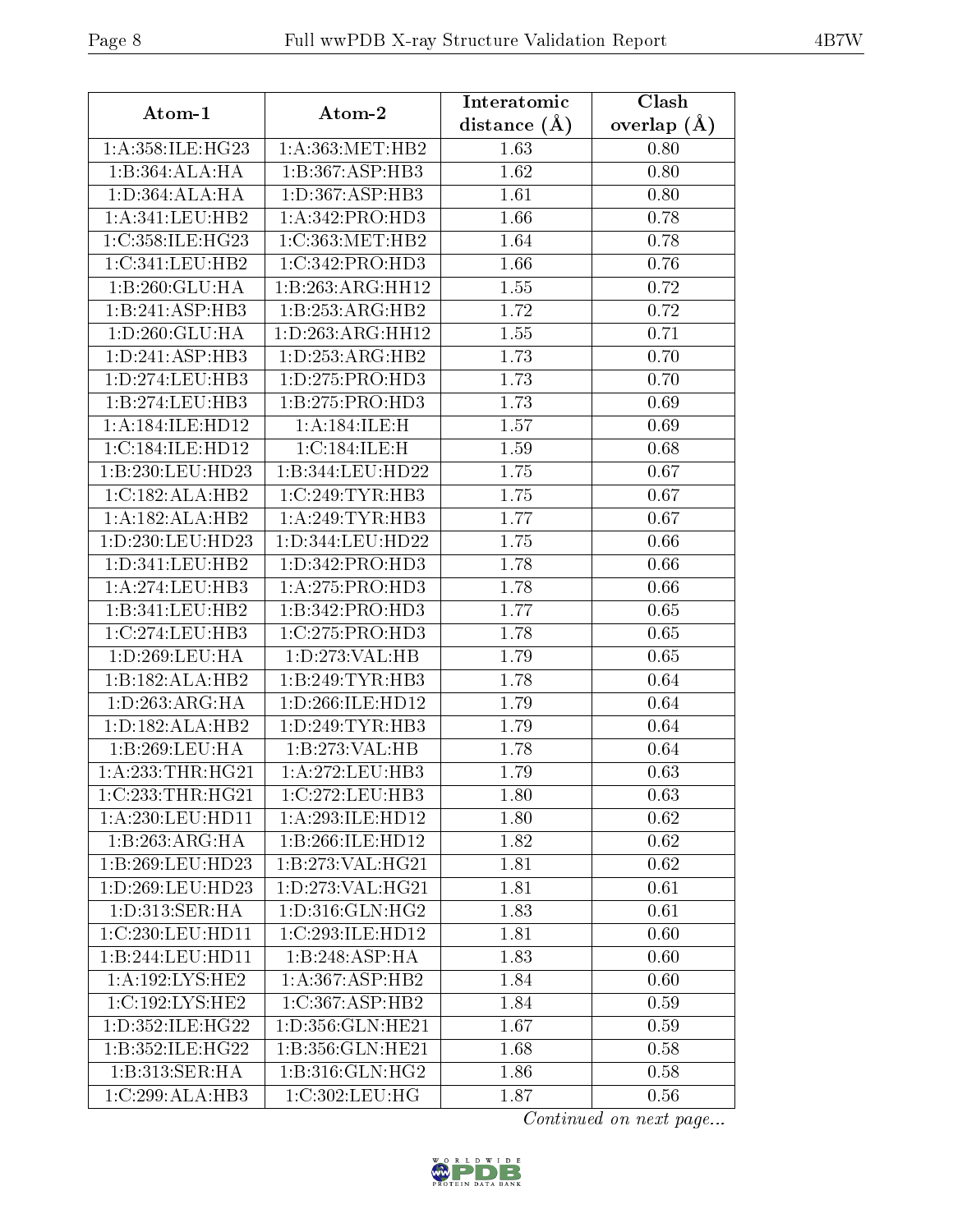| Atom-1               | Atom-2                       | Interatomic       | Clash           |
|----------------------|------------------------------|-------------------|-----------------|
|                      |                              | distance $(\AA)$  | overlap $(\AA)$ |
| 1: A:358: ILE:HG23   | 1: A: 363:MET:HB2            | 1.63              | 0.80            |
| 1:B:364:ALA:HA       | 1:B:367:ASP:HB3              | 1.62              | 0.80            |
| 1: D: 364: ALA: HA   | 1: D: 367: ASP: HB3          | 1.61              | 0.80            |
| 1:A:341:LEU:HB2      | 1:A:342:PRO:HD3              | 1.66              | 0.78            |
| 1:C:358:ILE:HG23     | 1:C:363:MET:HB2              | 1.64              | 0.78            |
| 1:C:341:LEU:HB2      | 1:C:342:PRO:HD3              | 1.66              | 0.76            |
| 1:B:260:GLU:HA       | 1:B:263:ARG:HH12             | 1.55              | 0.72            |
| 1:B:241:ASP:HB3      | $1:B:253:ARG:\overline{HB2}$ | 1.72              | 0.72            |
| 1: D: 260: GLU: HA   | 1:D:263:ARG:HH12             | 1.55              | 0.71            |
| 1: D:241: ASP:HB3    | 1: D: 253: ARG: HB2          | 1.73              | 0.70            |
| 1: D: 274: LEU: HB3  | 1: D: 275: PRO: HD3          | 1.73              | 0.70            |
| 1:B:274:LEU:HB3      | 1:B:275:PRO:HD3              | 1.73              | 0.69            |
| 1:A:184:ILE:HD12     | 1: A: 184: ILE:H             | 1.57              | 0.69            |
| 1:C:184:ILE:HD12     | 1:C:184:ILE:H                | 1.59              | 0.68            |
| 1:B:230:LEU:HD23     | 1:B:344:LEU:HD22             | 1.75              | 0.67            |
| 1:C:182:ALA:HB2      | 1:C:249:TYR:HB3              | 1.75              | 0.67            |
| 1:A:182:ALA:HB2      | 1: A:249:TYR:HB3             | 1.77              | 0.67            |
| 1:D:230:LEU:HD23     | 1:D:344:LEU:HD22             | 1.75              | 0.66            |
| 1:D:341:LEU:HB2      | 1: D: 342: PRO: HD3          | 1.78              | 0.66            |
| 1: A:274:LEU:HB3     | 1: A:275: PRO:HD3            | 1.78              | 0.66            |
| 1:B:341:LEU:HB2      | 1:B:342:PRO:HD3              | 1.77              | 0.65            |
| 1:C:274:LEU:HB3      | 1:C:275:PRO:HD3              | 1.78              | 0.65            |
| 1: D:269:LEU:HA      | 1: D: 273: VAL: HB           | 1.79              | 0.65            |
| 1:B:182:ALA:HB2      | 1:B:249:TYR:HB3              | 1.78              | 0.64            |
| 1: D: 263: ARG: HA   | 1:D:266:ILE:HD12             | 1.79              | 0.64            |
| 1: D: 182: ALA: HB2  | 1: D: 249: TYR: HB3          | 1.79              | 0.64            |
| 1:B:269:LEU:HA       | 1:B:273:VAL:HB               | $\overline{1.78}$ | 0.64            |
| 1: A: 233: THR: HG21 | 1: A:272:LEU:HB3             | 1.79              | 0.63            |
| 1:C:233:THR:HG21     | 1:C:272:LEU:HB3              | 1.80              | 0.63            |
| $1: A:230:$ LEU:HD11 | 1:A:293:ILE:HD12             | 1.80              | 0.62            |
| 1:B:263:ARG:HA       | 1:B:266:ILE:HD12             | 1.82              | 0.62            |
| 1:B:269:LEU:HD23     | 1:B:273:VAL:HG21             | 1.81              | 0.62            |
| 1:D:269:LEU:HD23     | 1:D:273:VAL:HG21             | 1.81              | 0.61            |
| 1:D:313:SER:HA       | 1: D: 316: GLN: HG2          | 1.83              | 0.61            |
| 1:C:230:LEU:HD11     | 1:C:293:ILE:HD12             | 1.81              | 0.60            |
| 1:B:244:LEU:HD11     | 1:B:248:ASP:HA               | 1.83              | 0.60            |
| 1:A:192:LYS:HE2      | 1: A:367: ASP:HB2            | 1.84              | 0.60            |
| 1:C:192:LYS:HE2      | 1:C:367:ASP:HB2              | 1.84              | 0.59            |
| 1:D:352:ILE:HG22     | 1:D:356:GLN:HE21             | 1.67              | 0.59            |
| 1:B:352:ILE:HG22     | 1:B:356:GLN:HE21             | 1.68              | 0.58            |
| 1:B:313:SER:HA       | 1:B:316:GLN:HG2              | 1.86              | 0.58            |
| 1:C:299:ALA:HB3      | $1:C:302:$ LEU:HG            | 1.87              | 0.56            |

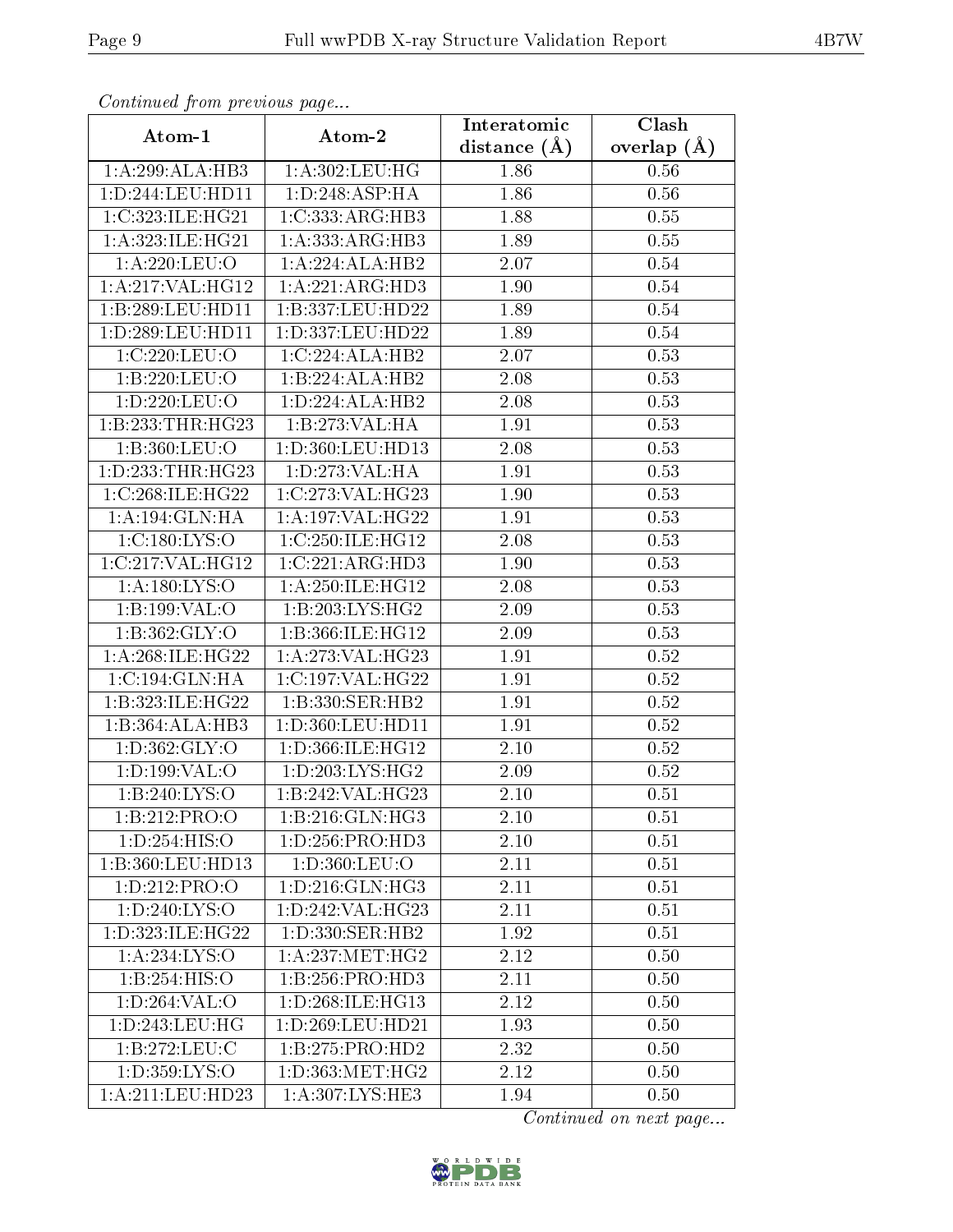| Continued from precious page |                                                          | Interatomic      | Clash           |
|------------------------------|----------------------------------------------------------|------------------|-----------------|
| Atom-1                       | Atom-2                                                   | distance $(\AA)$ | overlap $(\AA)$ |
| 1:A:299:ALA:HB3              | 1:A:302:LEU:HG                                           | 1.86             | 0.56            |
| 1:D:244:LEU:HD11             | 1: D:248: ASP: HA                                        | 1.86             | 0.56            |
| 1:C:323:ILE:HG21             | 1:C:333:ARG:HB3                                          | 1.88             | 0.55            |
| 1:A:323:ILE:HG21             | 1: A: 333:ARG:HB3                                        | 1.89             | 0.55            |
| 1:A:220:LEU:O                | 1:A:224:ALA:HB2                                          | 2.07             | 0.54            |
| 1:A:217:VAL:HG12             | 1:A:221:ARG:HD3                                          | 1.90             | 0.54            |
| 1:B:289:LEU:HD11             | 1:B:337:LEU:HD22                                         | 1.89             | $0.54\,$        |
| 1:D:289:LEU:HD11             | 1:D:337:LEU:HD22                                         | 1.89             | 0.54            |
| 1:C:220:LEU:O                | 1:C:224:ALA:HB2                                          | 2.07             | 0.53            |
| 1:B:220:LEU:O                | 1:B:224:ALA:HB2                                          | 2.08             | 0.53            |
| 1:D:220:LEU:O                | 1: D: 224: ALA: HB2                                      | 2.08             | 0.53            |
| 1:B:233:THR:HG23             | 1:B:273:VAL:HA                                           | 1.91             | 0.53            |
| 1:B:360:LEU:O                | 1:D:360:LEU:HD13                                         | 2.08             | 0.53            |
| 1:D:233:THR:HG23             | 1:D:273:VAL:HA                                           | 1.91             | 0.53            |
| 1:C:268:ILE:HG22             | 1:C:273:VAL:HG23                                         | 1.90             | 0.53            |
| 1: A: 194: GLN: HA           | 1:A:197:VAL:HG22                                         | 1.91             | 0.53            |
| 1: C: 180: LYS: O            | 1:C:250:ILE:HG12                                         | 2.08             | 0.53            |
| 1:C:217:VAL:HG12             | 1:C:221:ARG:HD3                                          | 1.90             | 0.53            |
| 1: A: 180: LYS: O            | 1:A:250:ILE:HG12                                         | 2.08             | 0.53            |
| 1:B:199:VAL:O                | 1:B:203:LYS:HG2                                          | 2.09             | 0.53            |
| 1: B: 362: GLY:O             | 1:B:366:ILE:HG12                                         | 2.09             | 0.53            |
| 1: A:268: ILE:HG22           | 1: A:273: VAL:HG23                                       | 1.91             | 0.52            |
| 1:C:194:GLN:HA               | 1:C:197:VAL:HG22                                         | 1.91             | 0.52            |
| 1:B:323:ILE:HG22             | 1:B:330:SER:HB2                                          | 1.91             | $0.52\,$        |
| 1:B:364:ALA:HB3              | 1: D: 360: LEU: HD11                                     | 1.91             | 0.52            |
| 1: D: 362: GLY: O            | 1:D:366:ILE:HG12                                         | 2.10             | $0.52\,$        |
| 1: D: 199: VAL: O            | 1: D: 203: LYS: HG2                                      | 2.09             | $0.52\,$        |
| 1:B:240:LYS:O                | 1:B:242:VAL:HG23                                         | 2.10             | 0.51            |
| 1:B:212:PRO:O                | 1:B:216:GLN:HG3                                          | 2.10             | 0.51            |
| 1:D:254:HIS:O                | 1:D:256:PRO:HD3                                          | 2.10             | 0.51            |
| 1:B:360:LEU:HD13             | 1:D:360:LEU:O                                            | 2.11             | 0.51            |
| 1:D:212:PRO:O                | 1: D: 216: GLN: HG3                                      | 2.11             | 0.51            |
| 1: D: 240: LYS:O             | 1:D:242:VAL:HG23                                         | 2.11             | 0.51            |
| 1:D:323:ILE:HG22             | $1: D: 330: \overline{\text{SER:H}}\overline{\text{B2}}$ | 1.92             | 0.51            |
| 1:A:234:LYS:O                | 1: A: 237: MET:HG2                                       | 2.12             | 0.50            |
| 1:B:254:HIS:O                | 1:B:256:PRO:HD3                                          | 2.11             | 0.50            |
| $1: D:264:VAL:$ <sup>O</sup> | 1:D:268:ILE:HG13                                         | 2.12             | 0.50            |
| 1: D: 243: LEU: HG           | 1:D:269:LEU:HD21                                         | 1.93             | 0.50            |
| 1:B:272:LEU:C                | 1:B:275:PRO:HD2                                          | 2.32             | 0.50            |
| 1: D: 359: LYS: O            | 1: D: 363: MET:HG2                                       | 2.12             | 0.50            |
| 1:A:211:LEU:HD23             | 1:A:307:LYS:HE3                                          | 1.94             | 0.50            |

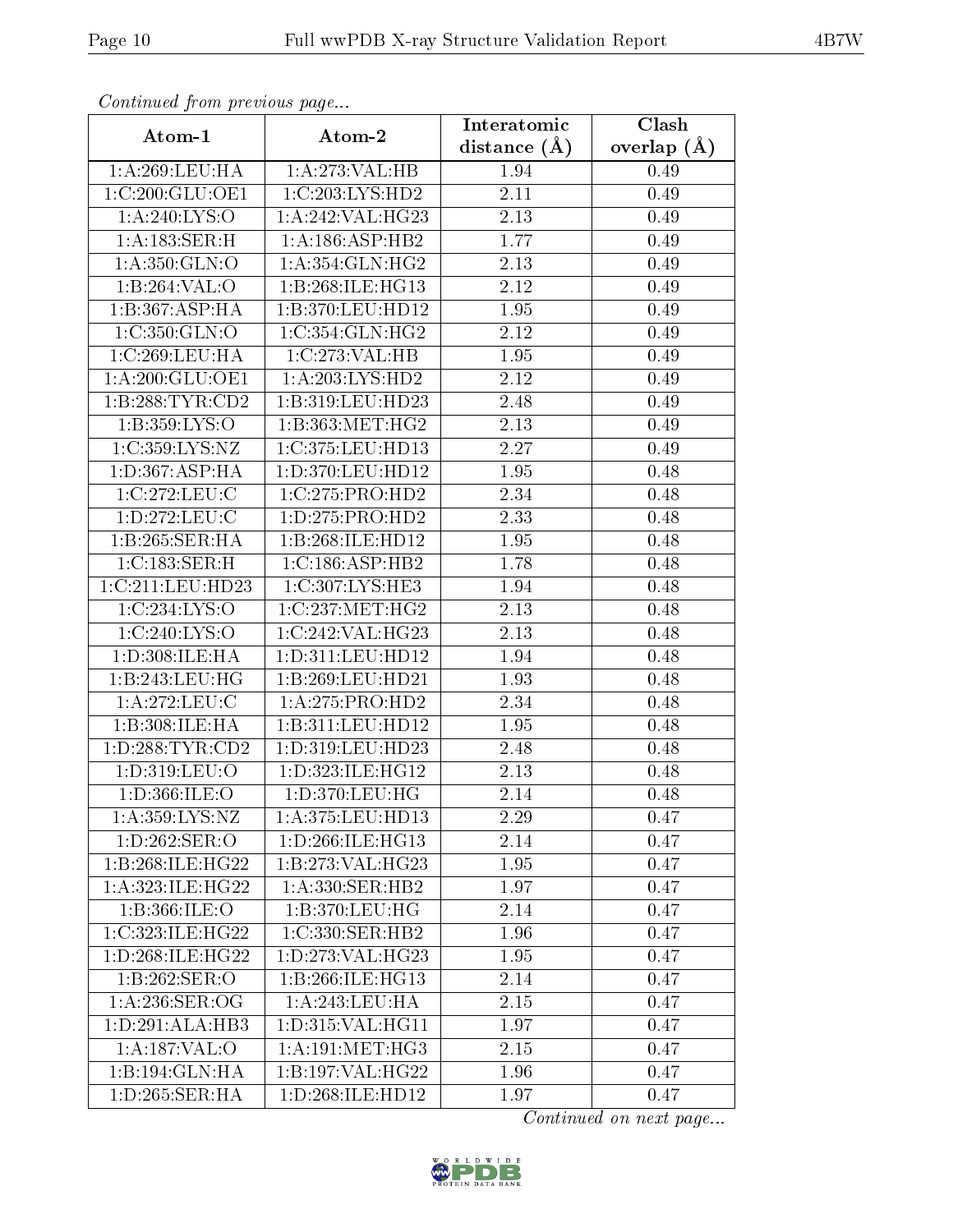| Continuea from previous page |                      | Interatomic    | Clash         |
|------------------------------|----------------------|----------------|---------------|
| Atom-1                       | Atom-2               | distance $(A)$ | overlap $(A)$ |
| 1:A:269:LEU:HA               | 1:A:273:VAL:H B      | 1.94           | 0.49          |
| 1:C:200:GLU:OE1              | 1:C:203:LYS:HD2      | 2.11           | 0.49          |
| 1: A:240: LYS:O              | 1: A:242:VAL:HG23    | 2.13           | 0.49          |
| 1:A:183:SER:H                | 1:A:186:ASP:HB2      | 1.77           | 0.49          |
| 1: A: 350: GLN:O             | 1: A: 354: GLN: HG2  | 2.13           | 0.49          |
| 1:B:264:VAL:O                | 1:B:268:ILE:HG13     | 2.12           | 0.49          |
| 1:B:367:ASP:HA               | 1:B:370:LEU:HD12     | 1.95           | 0.49          |
| 1:C:350:GLN:O                | 1:C:354:GLN:HG2      | 2.12           | 0.49          |
| 1:C:269:LEU:HA               | 1:C:273:VAL:HB       | 1.95           | 0.49          |
| 1: A:200: GLU:OE1            | 1: A:203:LYS:HD2     | 2.12           | 0.49          |
| 1:B:288:TYR:CD2              | 1:B:319:LEU:HD23     | 2.48           | 0.49          |
| 1:B:359:LYS:O                | 1: B: 363:MET:HG2    | 2.13           | 0.49          |
| 1:C:359:LYS:NZ               | 1:C:375:LEU:HD13     | 2.27           | 0.49          |
| 1:D:367:ASP:HA               | 1:D:370:LEU:HD12     | 1.95           | 0.48          |
| 1:C:272:LEU:C                | 1:C:275:PRO:HD2      | 2.34           | 0.48          |
| 1:D:272:LEU:C                | 1:D:275:PRO:HD2      | 2.33           | 0.48          |
| 1:B:265:SER:HA               | 1:B:268:ILE:HD12     | 1.95           | 0.48          |
| 1:C:183:SER:H                | 1:C:186:ASP:HB2      | 1.78           | 0.48          |
| 1:C:211:LEU:HD23             | 1:C:307:LYS:HE3      | 1.94           | 0.48          |
| 1:C:234:LYS:O                | 1:C:237:MET:HG2      | 2.13           | 0.48          |
| 1:C:240:LYS:O                | 1:C:242:VAL:HG23     | 2.13           | 0.48          |
| 1:D:308:ILE:HA               | 1: D: 311: LEU: HD12 | 1.94           | 0.48          |
| $1:B:243:LEU:H\overline{G}$  | 1:B:269:LEU:HD21     | 1.93           | 0.48          |
| 1: A:272:LEU: C              | 1:A:275:PRO:HD2      | 2.34           | 0.48          |
| 1:B:308:ILE:HA               | 1:B:311:LEU:HD12     | 1.95           | 0.48          |
| 1: D: 288: TYR: CD2          | 1:D:319:LEU:HD23     | 2.48           | 0.48          |
| 1:D:319:LEU:O                | 1:D:323:ILE:HG12     | 2.13           | 0.48          |
| 1:D:366:ILE:O                | 1:D:370:LEU:HG       | 2.14           | 0.48          |
| 1:A:359:LYS:NZ               | 1:A:375:LEU:HD13     | 2.29           | 0.47          |
| 1: D: 262: SER: O            | 1: D:266: ILE:HG13   | 2.14           | 0.47          |
| 1:B:268:ILE:HG22             | 1:B:273:VAL:HG23     | 1.95           | 0.47          |
| 1: A:323: ILE:HG22           | 1:A:330:SER:HB2      | 1.97           | 0.47          |
| 1: B: 366: ILE: O            | 1:B:370:LEU:HG       | 2.14           | 0.47          |
| 1:C:323:ILE:HG22             | 1:C:330:SER:HB2      | 1.96           | 0.47          |
| 1: D:268: ILE:HG22           | 1: D: 273: VAL: HG23 | 1.95           | 0.47          |
| 1:B:262:SER:O                | 1:B:266:ILE:HG13     | 2.14           | 0.47          |
| 1: A:236: SER:OG             | 1: A:243:LEU:HA      | 2.15           | 0.47          |
| 1: D:291: ALA:HB3            | 1:D:315:VAL:HG11     | 1.97           | 0.47          |
| 1:A:187:VAL:O                | 1: A:191: MET:HG3    | 2.15           | 0.47          |
| $1:B:194:GLN:\overline{HA}$  | 1:B:197:VAL:HG22     | 1.96           | 0.47          |
| 1: D: 265: SER: HA           | 1:D:268:ILE:HD12     | 1.97           | 0.47          |

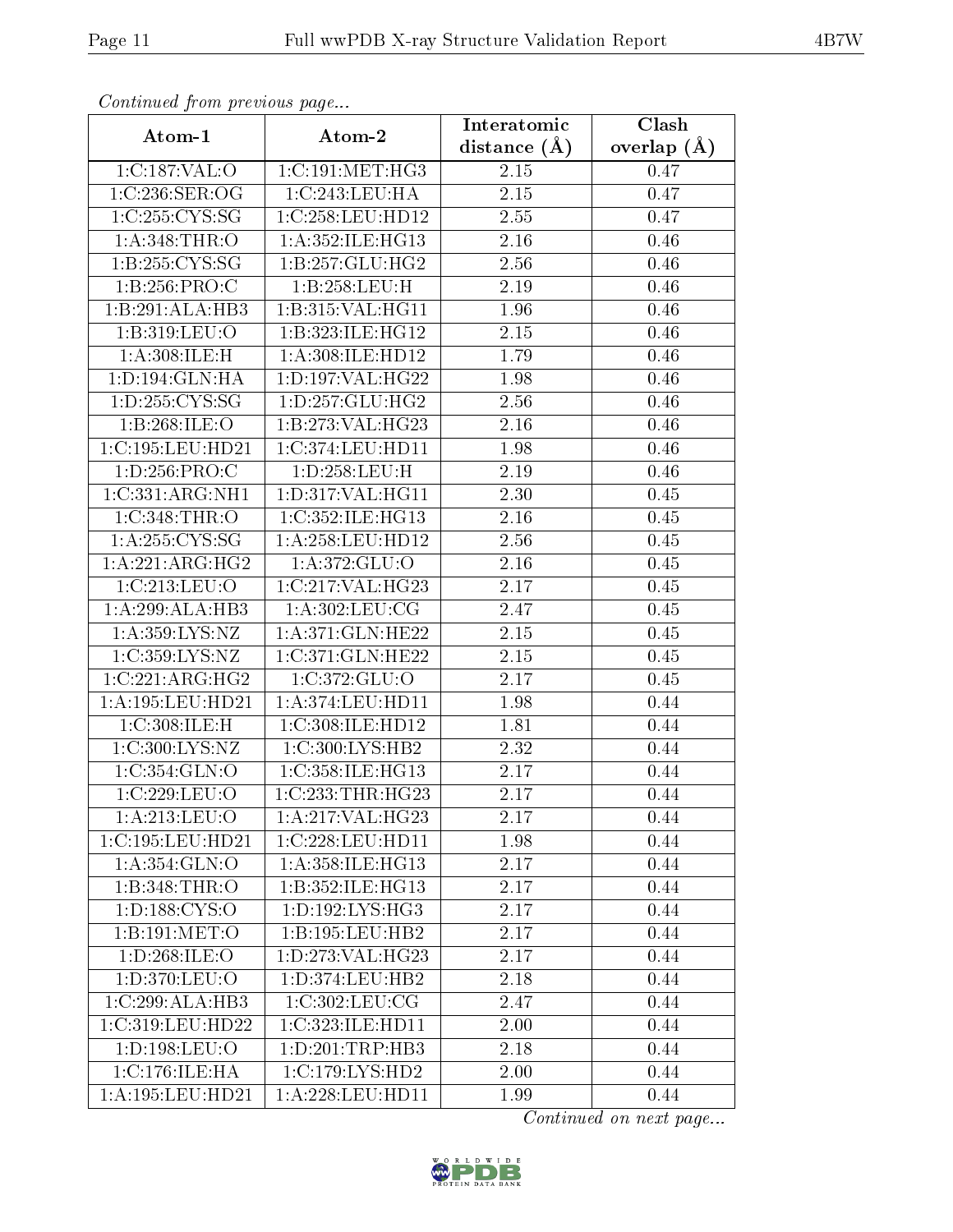| Continuea from previous page<br>Clash<br>Interatomic |                                  |                   |                 |  |  |  |
|------------------------------------------------------|----------------------------------|-------------------|-----------------|--|--|--|
| Atom-1                                               | Atom-2                           | distance $(A)$    | overlap $(\AA)$ |  |  |  |
| 1:C:187:VAL:O                                        | 1:C:191:MET:HG3                  | 2.15              | 0.47            |  |  |  |
| 1:C:236:SER:OG                                       | 1:C:243:LEU:HA                   | $2.15\,$          | 0.47            |  |  |  |
| 1:C:255:CYS:SG                                       | 1:C:258:LEU:HD12                 | 2.55              | 0.47            |  |  |  |
| 1: A:348:THR:O                                       | 1:A:352:ILE:HG13                 | 2.16              | 0.46            |  |  |  |
| 1: B: 255: CYS: SG                                   | 1:B:257:GLU:HG2                  | 2.56              | 0.46            |  |  |  |
| 1:B:256:PRO:C                                        | 1:B:258:LEU:H                    | 2.19              | 0.46            |  |  |  |
| 1:B:291:ALA:HB3                                      | 1:B:315:VAL:HG11                 | 1.96              | 0.46            |  |  |  |
| 1:B:319:LEU:O                                        | 1:B:323:ILE:HG12                 | 2.15              | 0.46            |  |  |  |
| 1: A:308: ILE:H                                      | 1:A:308:ILE:HD12                 | 1.79              | 0.46            |  |  |  |
| 1: D: 194: GLN: HA                                   | 1:D:197:VAL:HG22                 | 1.98              | 0.46            |  |  |  |
| 1: D: 255: CYS: SG                                   | 1: D: 257: GLU: HG2              | 2.56              | 0.46            |  |  |  |
| 1:B:268:ILE:O                                        | 1:B:273:VAL:HG23                 | 2.16              | 0.46            |  |  |  |
| 1:C:195:LEU:HD21                                     | 1:C:374:LEU:HDI1                 | 1.98              | 0.46            |  |  |  |
| 1: D: 256: PRO: C                                    | 1:D:258:LEU:H                    | 2.19              | 0.46            |  |  |  |
| 1:C:331:ARG:NH1                                      | 1:D:317:VAL:HG11                 | 2.30              | $0.45\,$        |  |  |  |
| 1:C:348:THR:O                                        | 1:C:352:ILE:HG13                 | 2.16              | 0.45            |  |  |  |
| 1: A:255:CYS:SG                                      | 1:A:258:LEU:HD12                 | $\overline{2.56}$ | $0.45\,$        |  |  |  |
| 1:A:221:ARG:HG2                                      | 1: A:372: GLU:O                  | 2.16              | 0.45            |  |  |  |
| 1:C:213:LEU:O                                        | 1:C:217:VAL:HG23                 | 2.17              | $0.45\,$        |  |  |  |
| 1:A:299:ALA:HB3                                      | 1:A:302:LEU:CG                   | 2.47              | 0.45            |  |  |  |
| 1: A: 359: LYS: NZ                                   | 1:A:371:GLN:HE22                 | 2.15              | 0.45            |  |  |  |
| 1:C:359:LYS:NZ                                       | 1:C:371:GLN:HE22                 | 2.15              | 0.45            |  |  |  |
| 1:C:221:ARG:HG2                                      | 1:C:372:GLU:O                    | 2.17              | 0.45            |  |  |  |
| $1:$ A:195:LEU:HD21                                  | 1: A:374:LEU:HD11                | 1.98              | 0.44            |  |  |  |
| 1:C:308:ILE:H                                        | 1:C:308:ILE:HD12                 | 1.81              | 0.44            |  |  |  |
| 1:C:300:LYS:NZ                                       | 1:C:300:LYS:HB2                  | 2.32              | 0.44            |  |  |  |
| 1:C:354:GLN:O                                        | 1:C:358:ILE:HG13                 | 2.17              | 0.44            |  |  |  |
| 1:C:229:LEU:O                                        | 1:C:233:THR:HG23                 | 2.17              | 0.44            |  |  |  |
| 1: A:213:LEU:O                                       | 1:A:217:VAL:HG23                 | 2.17              | 0.44            |  |  |  |
| 1:C:195:LEU:HD21                                     | 1:C:228:LEU:HD11                 | 1.98              | 0.44            |  |  |  |
| $1: A: 354: \overline{GLN:O}$                        | 1: A: 358: ILE: HG13             | 2.17              | 0.44            |  |  |  |
| 1:B:348:THR:O                                        | 1:B:352:ILE:HG13                 | 2.17              | 0.44            |  |  |  |
| 1: D: 188: CYS: O                                    | $1: D: 192: LYS: H\overline{G3}$ | 2.17              | 0.44            |  |  |  |
| 1:B:191:MET:O                                        | 1:B:195:LEU:HB2                  | 2.17              | 0.44            |  |  |  |
| 1:D:268:ILE:O                                        | 1: D: 273: VAL: HG23             | 2.17              | 0.44            |  |  |  |
| 1:D:370:LEU:O                                        | 1:D:374:LEU:HB2                  | 2.18              | 0.44            |  |  |  |
| 1:C:299:ALA:HB3                                      | 1:C:302:LEU:CG                   | 2.47              | 0.44            |  |  |  |
| 1:C:319:LEU:HD22                                     | 1:C:323:ILE:HD11                 | 2.00              | 0.44            |  |  |  |
| 1:D:198:LEU:O                                        | 1:D:201:TRP:HB3                  | 2.18              | 0.44            |  |  |  |
| 1:C:176:ILE:HA                                       | 1: C: 179: LYS: HD2              | 2.00              | 0.44            |  |  |  |
| 1:A:195:LEU:HD21                                     | 1:A:228:LEU:HD11                 | 1.99              | 0.44            |  |  |  |

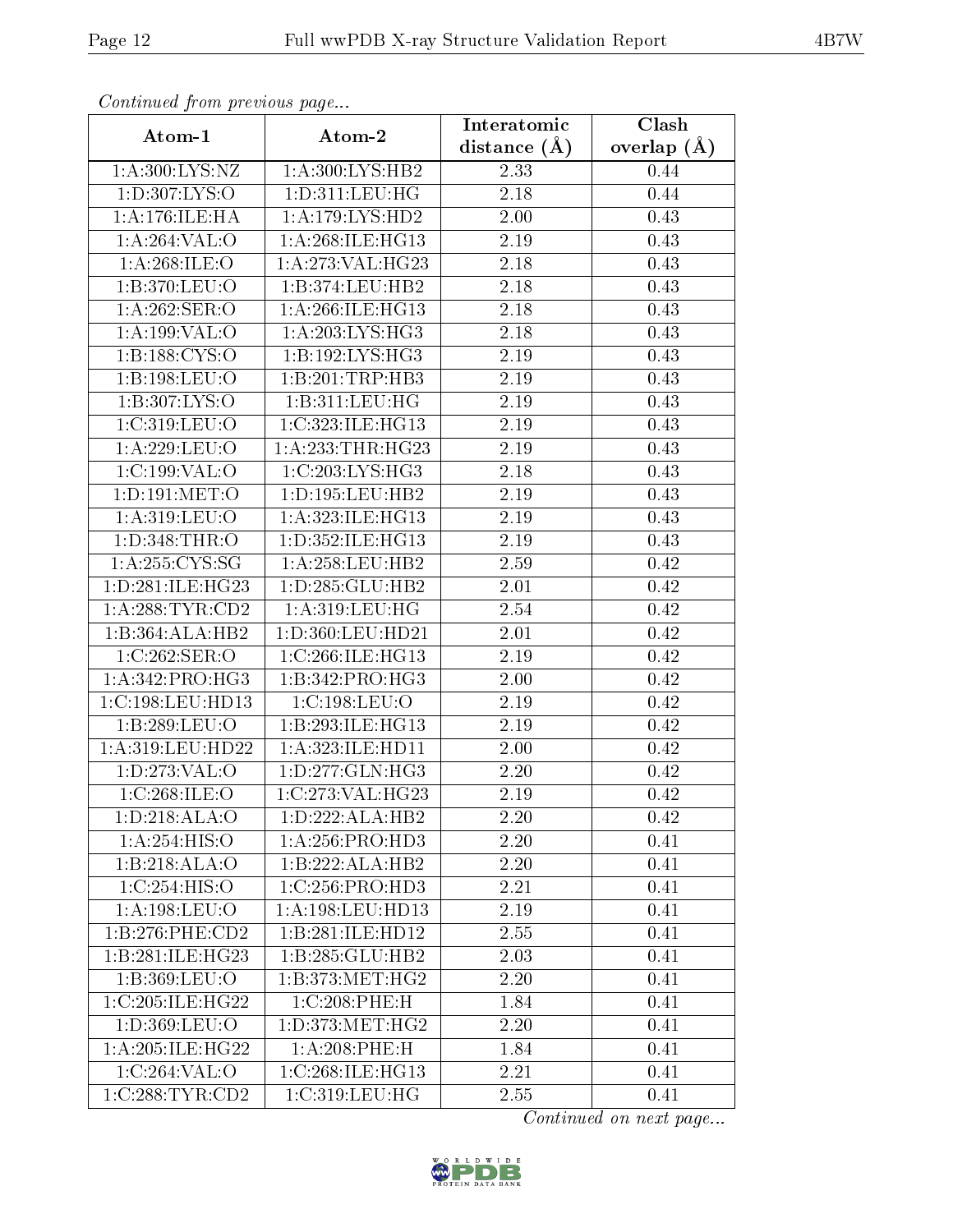| Continuation providus page           |                      | Interatomic    | Clash           |
|--------------------------------------|----------------------|----------------|-----------------|
| Atom-1                               | Atom-2               | distance $(A)$ | overlap $(\AA)$ |
| 1: A:300: LYS: NZ                    | 1: A:300: LYS: HB2   | 2.33           | 0.44            |
| 1:D:307:LYS:O                        | 1: D: 311: LEU: HG   | 2.18           | 0.44            |
| 1:A:176:ILE:HA                       | 1: A:179: LYS: HD2   | 2.00           | 0.43            |
| 1:A:264:VAL:O                        | 1: A:268: ILE: HG13  | 2.19           | 0.43            |
| 1:A:268:ILE:O                        | 1:A:273:VAL:HG23     | 2.18           | 0.43            |
| 1:B:370:LEU:O                        | 1:B:374:LEU:HB2      | 2.18           | 0.43            |
| 1:A:262:SER:O                        | 1:A:266:ILE:HG13     | 2.18           | 0.43            |
| 1: A:199: VAL:O                      | 1: A:203: LYS: HG3   | 2.18           | 0.43            |
| 1: B: 188: CYS:O                     | 1: B: 192: LYS: HG3  | 2.19           | 0.43            |
| 1:B:198:LEU:O                        | 1:B:201:TRP:HB3      | 2.19           | 0.43            |
| 1:B:307:LYS:O                        | 1:B:311:LEU:HG       | 2.19           | 0.43            |
| 1:C:319:LEU:O                        | 1:C:323:ILE:HG13     | 2.19           | 0.43            |
| 1:A:229:LEU:O                        | 1:A:233:THR:HG23     | 2.19           | 0.43            |
| 1:C:199:VAL:O                        | 1:C:203:LYS:HG3      | 2.18           | 0.43            |
| 1: D: 191: MET:O                     | 1: D: 195: LEU: HB2  | 2.19           | 0.43            |
| 1: A:319: LEU:O                      | 1: A: 323: ILE: HG13 | 2.19           | 0.43            |
| 1:D:348:THR:O                        | 1:D:352:ILE:HG13     | 2.19           | 0.43            |
| 1: A:255: CYS:SG                     | 1: A: 258: LEU: HB2  | 2.59           | 0.42            |
| 1: D:281: ILE: HG23                  | 1: D: 285: GLU: HB2  | 2.01           | 0.42            |
| 1: A:288:TYR:CD2                     | 1: A:319:LEU:HG      | 2.54           | 0.42            |
| 1:B:364:ALA:HB2                      | 1:D:360:LEU:HD21     | 2.01           | 0.42            |
| 1:C:262:SER:O                        | 1:C:266:ILE:HG13     | 2.19           | 0.42            |
| 1: A:342: PRO:HG3                    | 1:B:342:PRO:HG3      | 2.00           | 0.42            |
| 1:C:198:LEU:HD13                     | 1:C:198:LEU:O        | 2.19           | 0.42            |
| 1:B:289:LEU:O                        | 1:B:293:ILE:HG13     | 2.19           | 0.42            |
| 1:A:319:LEU:HD22                     | 1:A:323:ILE:HD11     | 2.00           | 0.42            |
| 1: D: 273: VAL: O                    | 1:D:277:GLN:HG3      | 2.20           | 0.42            |
| 1:C:268:ILE:O                        | 1:C:273:VAL:HG23     | 2.19           | 0.42            |
| $1: D: 218: \overline{\text{ALA}:O}$ | 1: D: 222: ALA: HB2  | 2.20           | 0.42            |
| 1:A:254:HIS:O                        | 1:A:256:PRO:HD3      | 2.20           | 0.41            |
| 1:B:218:ALA:O                        | 1:B:222:ALA:HB2      | 2.20           | 0.41            |
| 1:C:254:HIS:O                        | 1:C:256:PRO:HD3      | 2.21           | 0.41            |
| 1: A: 198: LEU: O                    | 1:A:198:LEU:HD13     | 2.19           | 0.41            |
| 1:B:276:PHE:CD2                      | 1:B:281:ILE:HD12     | 2.55           | 0.41            |
| 1:B:281:ILE:HG23                     | 1:B:285:GLU:HB2      | 2.03           | 0.41            |
| 1:B:369:LEU:O                        | 1: B: 373:MET:HG2    | 2.20           | 0.41            |
| 1:C:205:ILE:HG22                     | 1:C:208:PHE:H        | 1.84           | 0.41            |
| 1:D:369:LEU:O                        | 1: D: 373: MET:HG2   | 2.20           | 0.41            |
| 1: A:205: ILE:HG22                   | $1: A:208:$ PHE:H    | 1.84           | 0.41            |
| 1:C:264:VAL:O                        | 1:C:268:ILE:HG13     | 2.21           | 0.41            |
| 1:C:288:TYR:CD2                      | 1:C:319:LEU:HG       | 2.55           | 0.41            |

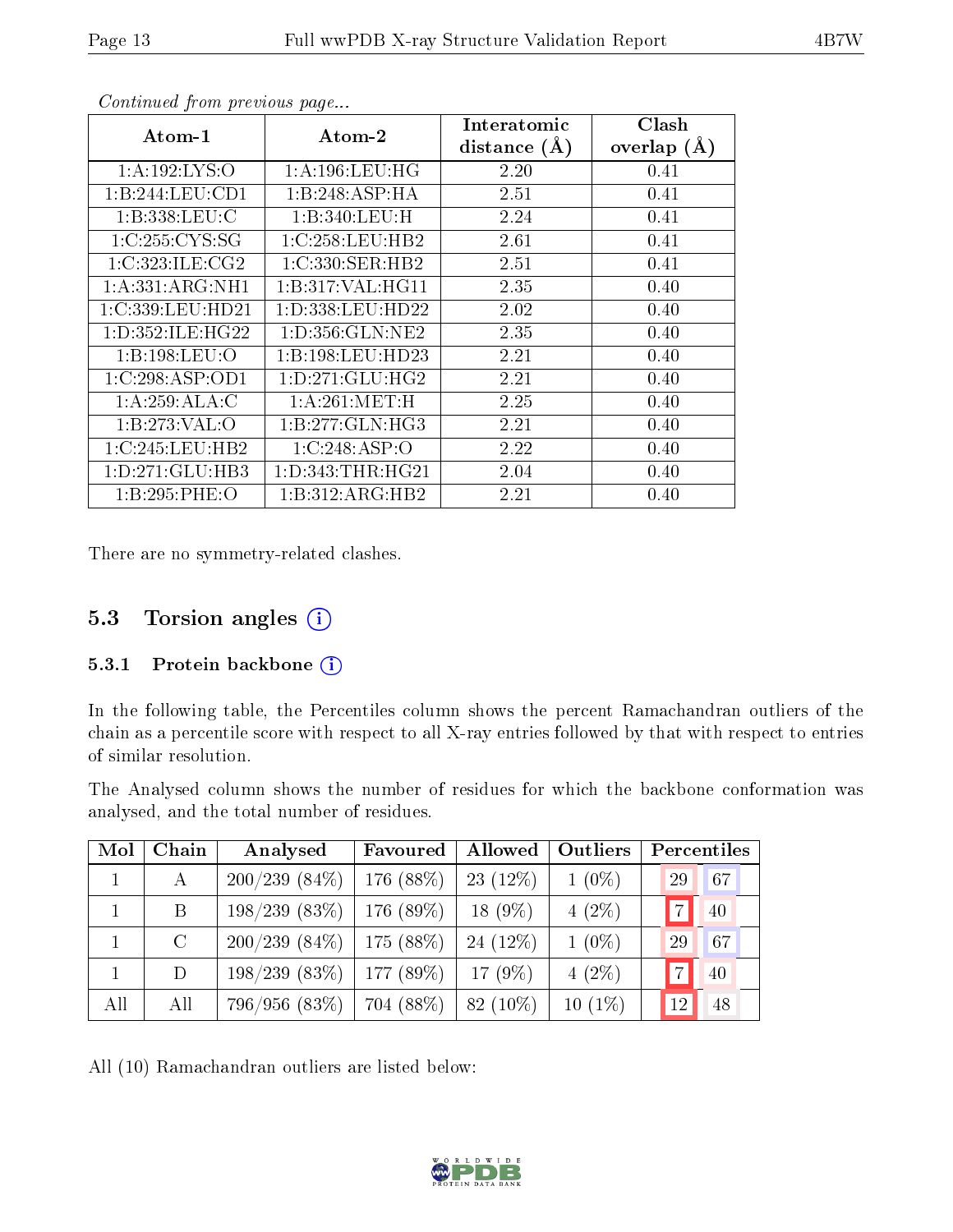| $\rm{Atom\text{-}1}$ | $\boldsymbol{\mathrm{Atom}\text{-}2}$ | Interatomic    | Clash         |
|----------------------|---------------------------------------|----------------|---------------|
|                      |                                       | distance $(A)$ | overlap $(A)$ |
| 1: A: 192: LYS: O    | 1: A: 196: LEU: HG                    | 2.20           | 0.41          |
| 1:B:244:LEU:CD1      | 1:B:248:ASP:HA                        | 2.51           | 0.41          |
| 1:B:338:LEU:C        | 1:B:340:LEU:H                         | 2.24           | 0.41          |
| 1:C:255:CYS:SG       | 1:C:258:LEU:HB2                       | 2.61           | 0.41          |
| 1:C:323:ILE:CG2      | 1:C:330:SER:HB2                       | 2.51           | 0.41          |
| 1:A:331:ARG:NH1      | 1:B:317:VAL:HG11                      | 2.35           | 0.40          |
| 1:C:339:LEU:HD21     | 1: D: 338: LEU: HD22                  | 2.02           | 0.40          |
| 1: D: 352: ILE: HG22 | 1: D: 356: GLN: NE2                   | 2.35           | 0.40          |
| 1:B:198:LEU:O        | 1:B:198:LEU:HD23                      | 2.21           | 0.40          |
| 1:C:298:ASP:OD1      | 1: D:271: GLU: HG2                    | 2.21           | 0.40          |
| 1:A:259:ALA:C        | 1: A:261: MET:H                       | 2.25           | 0.40          |
| 1:B:273:VAL:O        | 1:B:277:GLN:HG3                       | 2.21           | 0.40          |
| 1:C:245:LEU:HB2      | 1:C:248:ASP:O                         | 2.22           | 0.40          |
| 1:D:271:GLU:HB3      | 1:D:343:THR:HG21                      | 2.04           | 0.40          |
| 1:B:295:PHE:O        | 1:B:312:ARG:HB2                       | 2.21           | 0.40          |

There are no symmetry-related clashes.

## 5.3 Torsion angles (i)

#### 5.3.1 Protein backbone (i)

In the following table, the Percentiles column shows the percent Ramachandran outliers of the chain as a percentile score with respect to all X-ray entries followed by that with respect to entries of similar resolution.

The Analysed column shows the number of residues for which the backbone conformation was analysed, and the total number of residues.

| Mol | Chain   | Analysed        | Favoured    | Allowed     | Outliers  | Percentiles |
|-----|---------|-----------------|-------------|-------------|-----------|-------------|
|     | А       | $200/239(84\%)$ | 176 $(88%)$ | $23(12\%)$  | $1(0\%)$  | 29<br>67    |
|     | B       | 198/239(83%)    | $176(89\%)$ | $18(9\%)$   | $4(2\%)$  | 40          |
|     | $\rm C$ | $200/239(84\%)$ | $175(88\%)$ | 24 $(12\%)$ | $1(0\%)$  | 67<br>29    |
|     | D       | 198/239(83%)    | 177(89%)    | 17 $(9\%)$  | $4(2\%)$  | 40          |
| All | All     | 796/956 (83%)   | 704 (88%)   | $82(10\%)$  | $10(1\%)$ | 48<br>12    |

All (10) Ramachandran outliers are listed below:

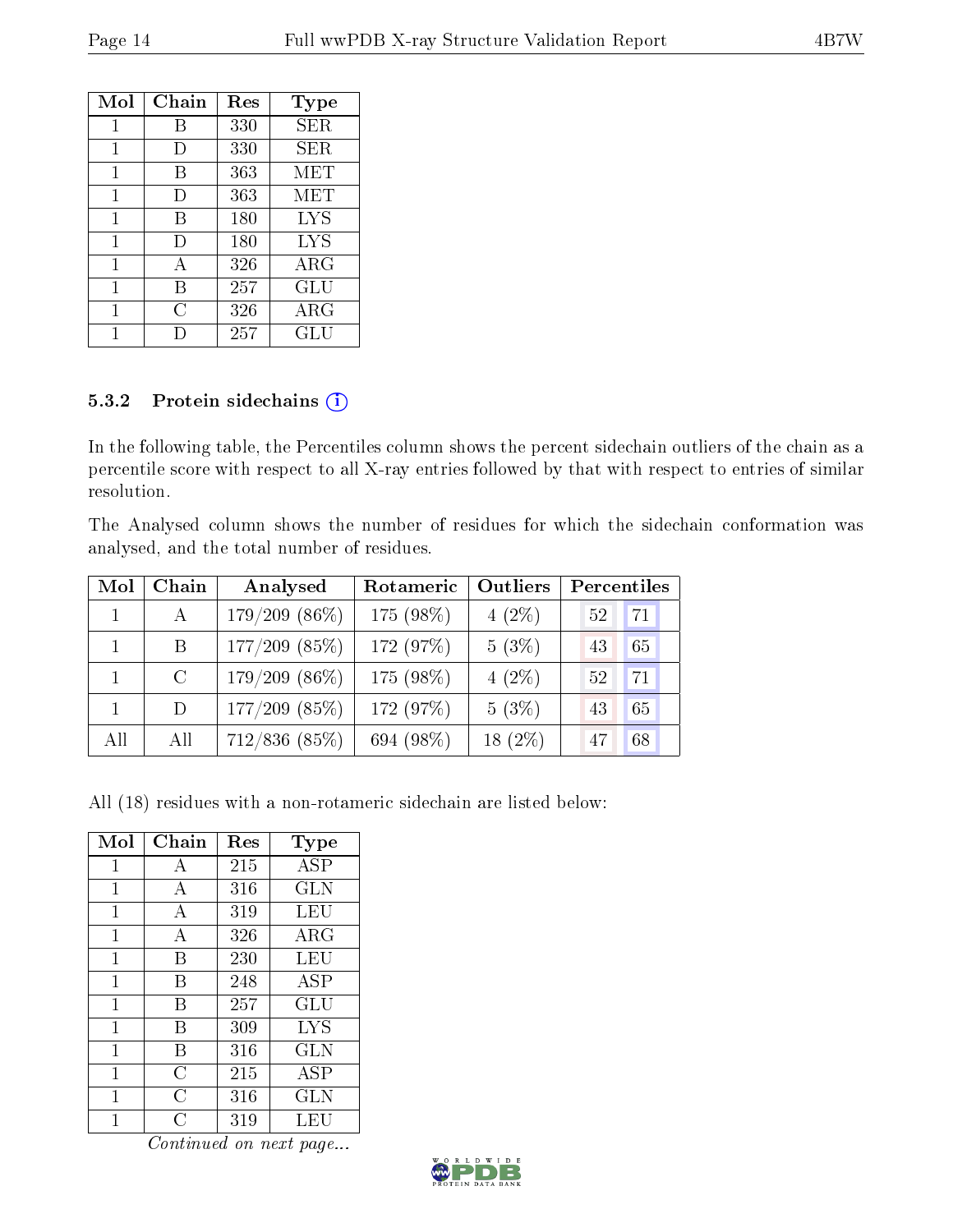| Mol          | Chain  | Res | Type        |
|--------------|--------|-----|-------------|
| $\mathbf{1}$ | В      | 330 | SER         |
| 1            | $\Box$ | 330 | SER         |
| 1            | В      | 363 | MET         |
| 1            | $\Box$ | 363 | MET         |
| 1            | В      | 180 | <b>LYS</b>  |
| 1            | D      | 180 | <b>LYS</b>  |
| 1            | A      | 326 | $\rm{ARG}$  |
| 1            | В      | 257 | GLU         |
| 1            | C      | 326 | ${\rm ARG}$ |
|              |        | 257 | GLU         |

#### 5.3.2 Protein sidechains (i)

In the following table, the Percentiles column shows the percent sidechain outliers of the chain as a percentile score with respect to all X-ray entries followed by that with respect to entries of similar resolution.

The Analysed column shows the number of residues for which the sidechain conformation was analysed, and the total number of residues.

| Mol          | Chain         | Analysed        | Rotameric | Outliers  | Percentiles |
|--------------|---------------|-----------------|-----------|-----------|-------------|
| $\mathbf{1}$ | A             | $179/209(86\%)$ | 175 (98%) | $4(2\%)$  | 71<br>52    |
|              | B             | $177/209$ (85%) | 172 (97%) | 5(3%)     | 65<br>43    |
|              | $\mathcal{C}$ | $179/209(86\%)$ | 175 (98%) | $4(2\%)$  | 71<br>52    |
|              | D             | $177/209$ (85%) | 172 (97%) | 5(3%)     | 65<br>43    |
| All          | All           | $712/836$ (85%) | 694 (98%) | $18(2\%)$ | 68<br>47    |

All (18) residues with a non-rotameric sidechain are listed below:

| Mol          | Chain | $\operatorname{Res}% \left( \mathcal{N}\right) \equiv\operatorname{Res}(\mathcal{N}_{0})\cap\mathcal{N}_{1}$ | Type                 |
|--------------|-------|--------------------------------------------------------------------------------------------------------------|----------------------|
| 1            | А     | 215                                                                                                          | ASP                  |
| 1            | А     | 316                                                                                                          | <b>GLN</b>           |
| 1            | А     | 319                                                                                                          | LEU                  |
| 1            | А     | 326                                                                                                          | ARG                  |
| 1            | В     | 230                                                                                                          | LEU                  |
| 1            | В     | 248                                                                                                          | ASP                  |
| 1            | В     | 257                                                                                                          | $\operatorname{GLU}$ |
| 1            | В     | 309                                                                                                          | <b>LYS</b>           |
| $\mathbf{1}$ | В     | 316                                                                                                          | GLN                  |
| 1            | С     | 215                                                                                                          | ASP                  |
| 1            | С     | 316                                                                                                          | <b>GLN</b>           |
|              | C     | 319                                                                                                          | LEU                  |

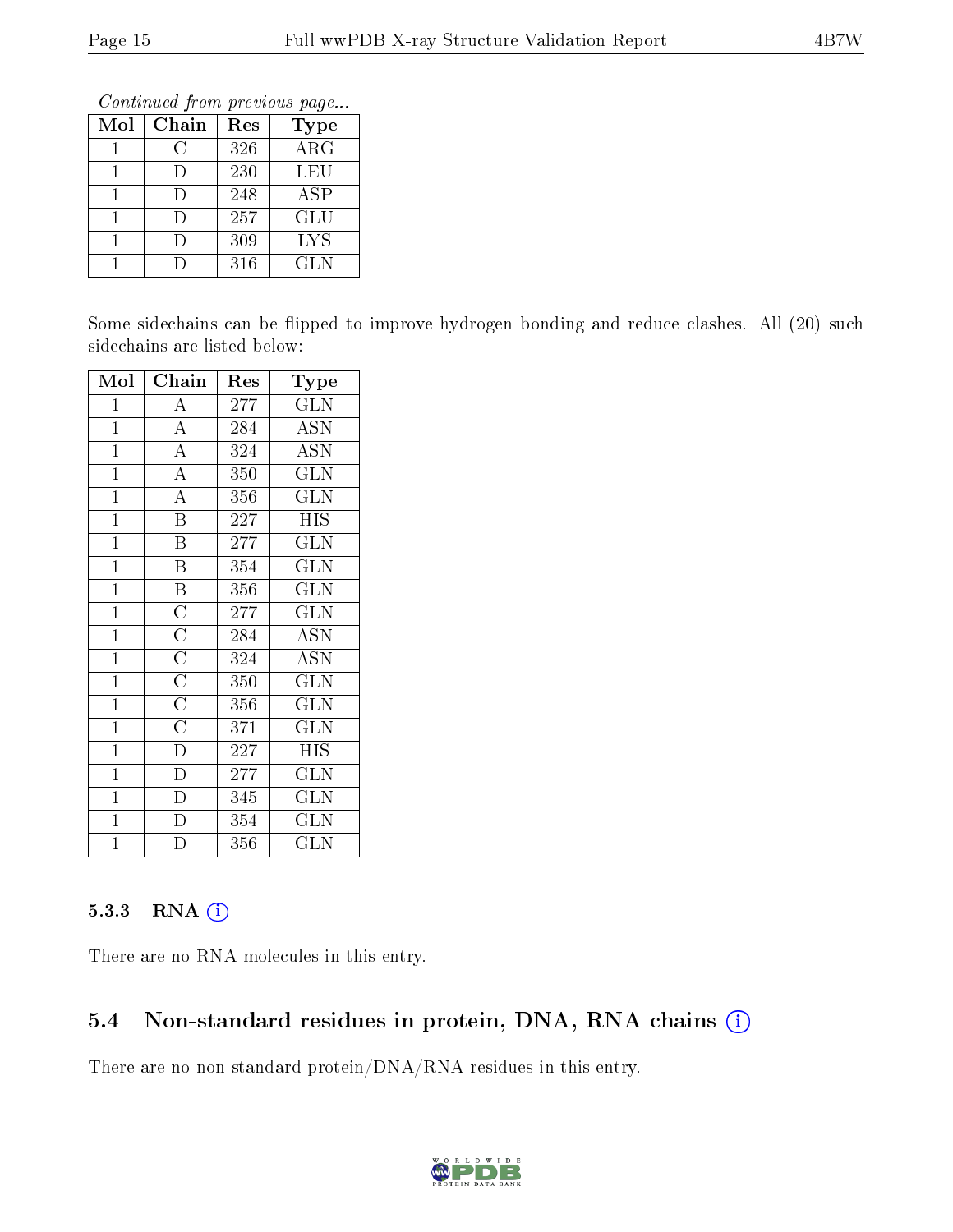Continued from previous page...

| Mol | Chain  | Res | <b>Type</b> |
|-----|--------|-----|-------------|
|     | C      | 326 | ARG         |
|     | I)     | 230 | LEU         |
|     |        | 248 | <b>ASP</b>  |
|     | $\Box$ | 257 | GLU         |
|     | I)     | 309 | <b>LYS</b>  |
|     |        | 316 | GLN         |

Some sidechains can be flipped to improve hydrogen bonding and reduce clashes. All (20) such sidechains are listed below:

| Mol            | Chain                   | Res | Type                      |
|----------------|-------------------------|-----|---------------------------|
| $\mathbf{1}$   | $\boldsymbol{A}$        | 277 | <b>GLN</b>                |
| $\mathbf{1}$   | $\overline{A}$          | 284 | <b>ASN</b>                |
| $\mathbf{1}$   | $\overline{A}$          | 324 | $\overline{\mathrm{ASN}}$ |
| $\overline{1}$ | $\overline{\rm A}$      | 350 | GLN                       |
| $\mathbf{1}$   | $\overline{\rm A}$      | 356 | <b>GLN</b>                |
| $\overline{1}$ | $\overline{\mathrm{B}}$ | 227 | <b>HIS</b>                |
| $\mathbf{1}$   | $\overline{\mathrm{B}}$ | 277 | $\overline{\text{GLN}}$   |
| $\overline{1}$ | $\overline{\mathrm{B}}$ | 354 | <b>GLN</b>                |
| $\overline{1}$ | $\overline{\mathbf{B}}$ | 356 | $\overline{\text{GLN}}$   |
| $\overline{1}$ | $\overline{C}$          | 277 | <b>GLN</b>                |
| $\overline{1}$ | $\overline{\rm C}$      | 284 | <b>ASN</b>                |
| $\overline{1}$ | $\overline{C}$          | 324 | <b>ASN</b>                |
| $\overline{1}$ | $\overline{C}$          | 350 | $\overline{\text{GLN}}$   |
| $\overline{1}$ | $\overline{C}$          | 356 | <b>GLN</b>                |
| $\overline{1}$ | $\overline{\rm C}$      | 371 | $\overline{\text{GLN}}$   |
| $\mathbf{1}$   | $\overline{D}$          | 227 | <b>HIS</b>                |
| $\mathbf{1}$   | $\overline{\rm D}$      | 277 | <b>GLN</b>                |
| $\mathbf{1}$   | $\overline{D}$          | 345 | $\overline{\text{GLN}}$   |
| $\mathbf{1}$   | $\bar{\rm D}$           | 354 | <b>GLN</b>                |
| $\overline{1}$ | $\overline{D}$          | 356 | $_{\rm GLN}$              |

### 5.3.3 RNA (1)

There are no RNA molecules in this entry.

## 5.4 Non-standard residues in protein, DNA, RNA chains (i)

There are no non-standard protein/DNA/RNA residues in this entry.

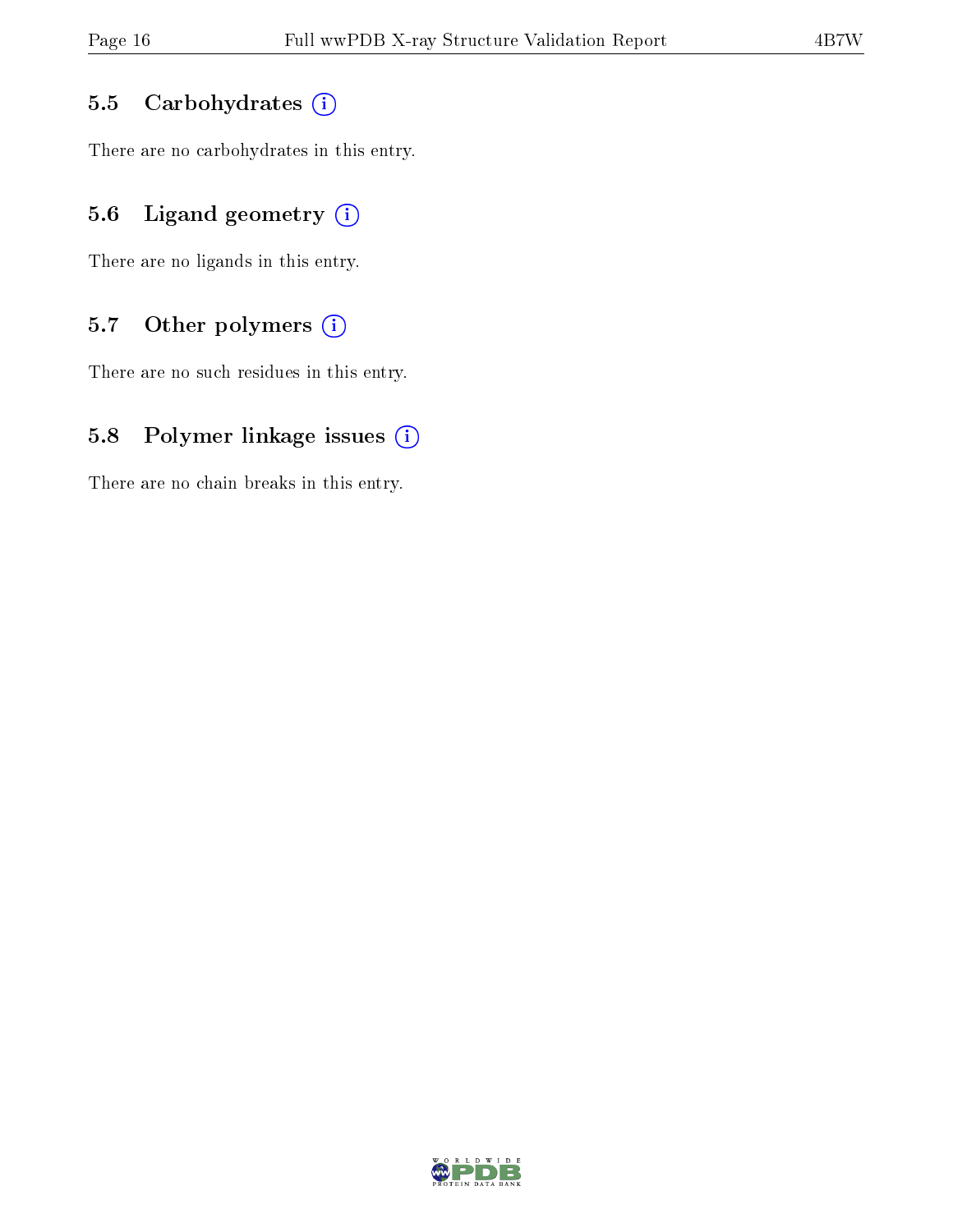#### 5.5 Carbohydrates  $(i)$

There are no carbohydrates in this entry.

## 5.6 Ligand geometry  $(i)$

There are no ligands in this entry.

## 5.7 [O](https://www.wwpdb.org/validation/2017/XrayValidationReportHelp#nonstandard_residues_and_ligands)ther polymers  $(i)$

There are no such residues in this entry.

### 5.8 Polymer linkage issues  $(i)$

There are no chain breaks in this entry.

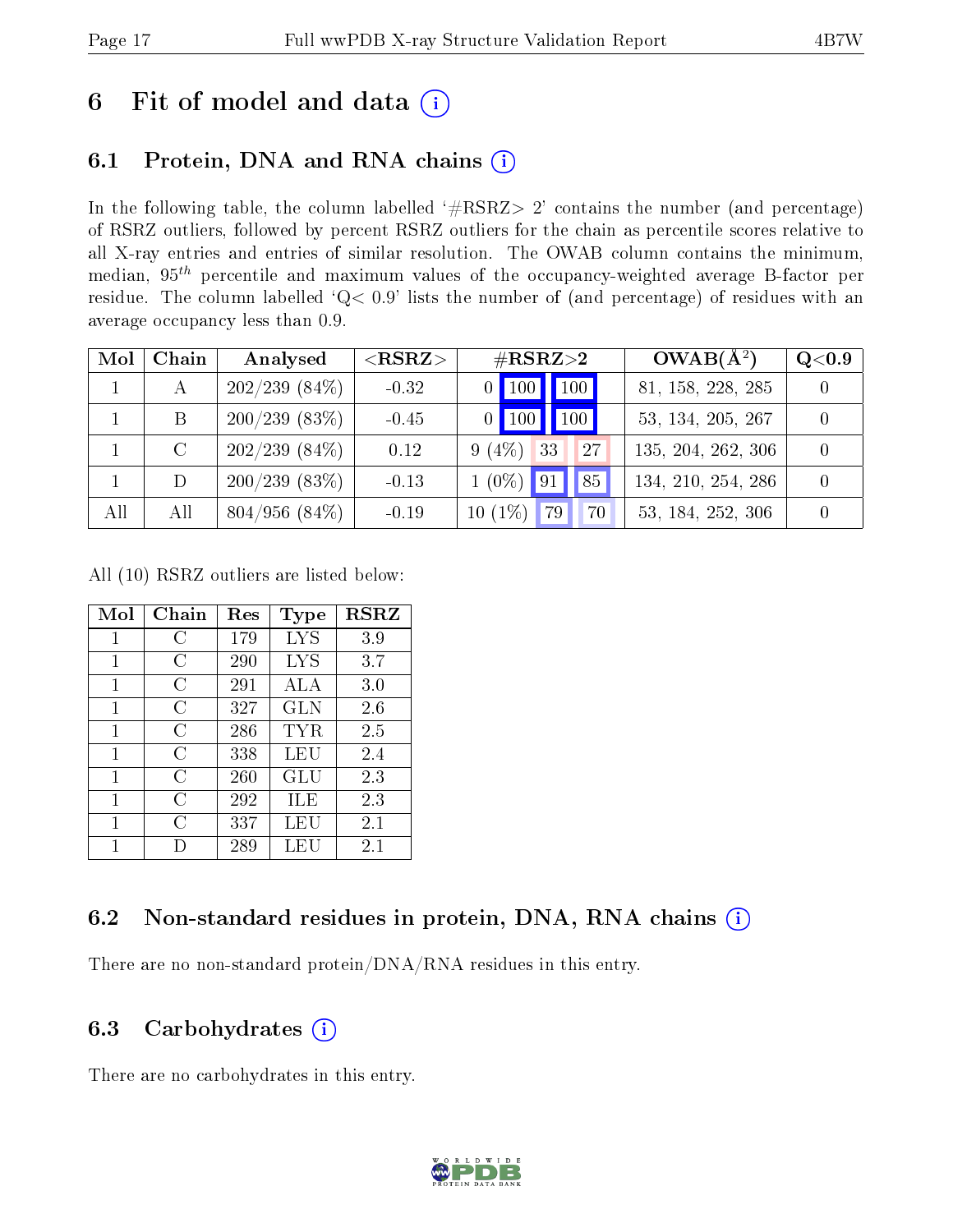## 6 Fit of model and data  $(i)$

## 6.1 Protein, DNA and RNA chains  $(i)$

In the following table, the column labelled  $#RSRZ> 2'$  contains the number (and percentage) of RSRZ outliers, followed by percent RSRZ outliers for the chain as percentile scores relative to all X-ray entries and entries of similar resolution. The OWAB column contains the minimum, median,  $95<sup>th</sup>$  percentile and maximum values of the occupancy-weighted average B-factor per residue. The column labelled ' $Q< 0.9$ ' lists the number of (and percentage) of residues with an average occupancy less than 0.9.

| Mol | Chain | Analysed           | ${ <\hspace{-1.5pt}{\mathrm{RSRZ}} \hspace{-1.5pt}>}$ | $\rm \#RSRZ{>}2$                     | $OWAB(A^2)$        | Q <sub>0.9</sub> |
|-----|-------|--------------------|-------------------------------------------------------|--------------------------------------|--------------------|------------------|
|     | А     | $202/239(84\%)$    | $-0.32$                                               | $\vert$ 100 $\vert$<br>$\vert$ 100   | 81, 158, 228, 285  |                  |
|     | B     | 200/239(83%)       | $-0.45$                                               | $\vert$ 100 $\vert$<br>$ 100\rangle$ | 53, 134, 205, 267  |                  |
|     |       | $202/239(84\%)$    | 0.12                                                  | 33<br>27<br>$9(4\%)$                 | 135, 204, 262, 306 |                  |
|     | D     | 200/239(83%)       | $-0.13$                                               | $1(0\%)$<br>85<br>$\sqrt{91}$        | 134, 210, 254, 286 |                  |
| All | All   | $804/956$ $(84\%)$ | $-0.19$                                               | $10(1\%)$<br>79<br>70                | 53, 184, 252, 306  |                  |

All (10) RSRZ outliers are listed below:

| Mol | Chain | $\operatorname{Res}$ | <b>Type</b> | <b>RSRZ</b> |
|-----|-------|----------------------|-------------|-------------|
| 1   | С     | 179                  | LYS         | 3.9         |
| 1   | C     | 290                  | LYS         | 3.7         |
| 1   | C     | 291                  | ALA         | 3.0         |
| 1   | C     | 327                  | GLN         | 2.6         |
| 1   | C     | 286                  | TYR         | 2.5         |
| 1   | C     | 338                  | LEU         | 2.4         |
| 1   | С     | 260                  | GLU         | 2.3         |
| 1   | C     | 292                  | ILE         | 2.3         |
| 1   | C     | 337                  | LEU         | 2.1         |
| 1   |       | 289                  | LEU         | 2.1         |

## 6.2 Non-standard residues in protein, DNA, RNA chains  $(i)$

There are no non-standard protein/DNA/RNA residues in this entry.

### 6.3 Carbohydrates  $(i)$

There are no carbohydrates in this entry.